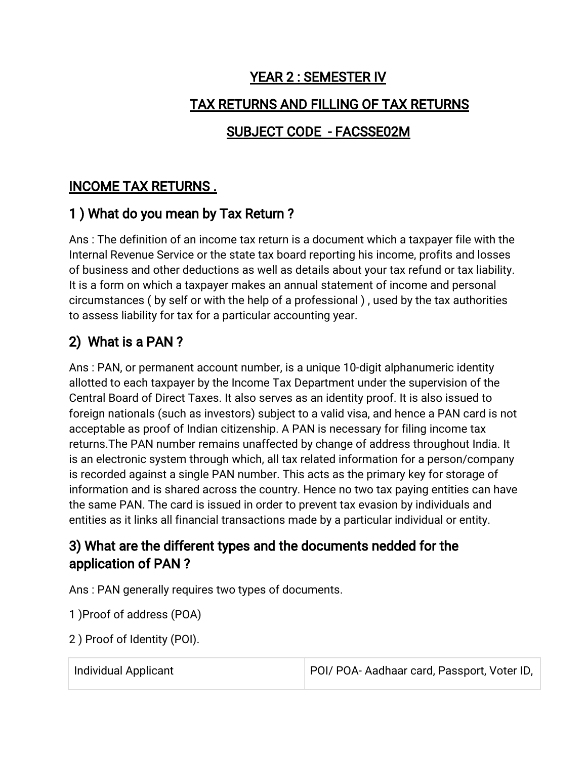# YEAR 2 : SEMESTER IV TAX RETURNS AND FILLING OF TAX RETURNS

## SUBJECT CODE - FACSSE02M

## INCOME TAX RETURNS.

#### 1) What do you mean by Tax Return?

Ans: The definition of an income tax return is a document which a taxpayer file with the Internal Revenue Service or the state tax board reporting his income, profits and losses of business and other deductions as well as details about your tax refund or tax liability. It is a form on which a taxpayer makes an annual statement of income and personal circumstances (by self or with the help of a professional), used by the tax authorities to assess liability for tax for a particular accounting year.

## 2) What is a PAN?

Ans: PAN, or permanent account number, is a unique 10-digit alphanumeric identity allotted to each taxpayer by the Income Tax Department under the supervision of the Central Board of Direct Taxes. It also serves as an identity proof. It is also issued to foreign nationals (such as investors) subject to a valid visa, and hence a PAN card is not acceptable as proof of Indian citizenship. A PAN is necessary for filing income tax returns. The PAN number remains unaffected by change of address throughout India. It is an electronic system through which, all tax related information for a person/company is recorded against a single PAN number. This acts as the primary key for storage of information and is shared across the country. Hence no two tax paying entities can have the same PAN. The card is issued in order to prevent tax evasion by individuals and entities as it links all financial transactions made by a particular individual or entity.

#### 3) What are the different types and the documents nedded for the application of PAN?

Ans: PAN generally requires two types of documents.

1) Proof of address (POA)

2) Proof of Identity (POI).

Individual Applicant **POI/POA-Aadhaarcard, Passport, Voter ID**,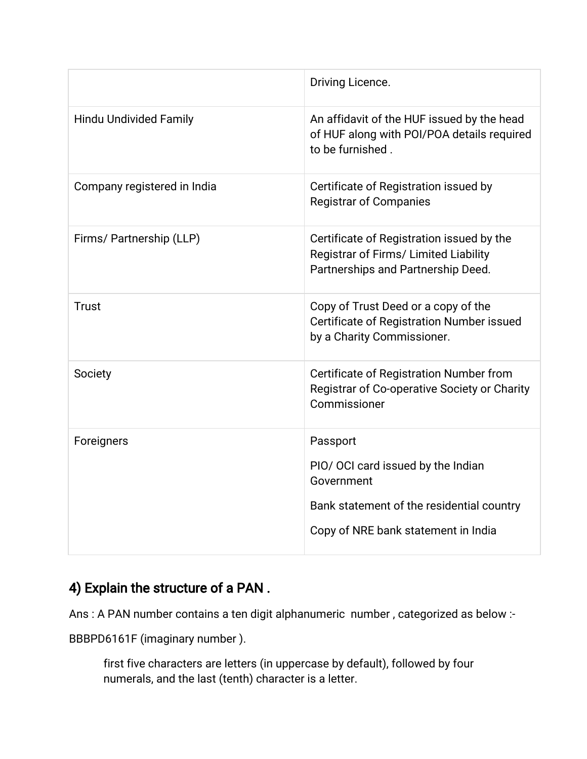|                               | Driving Licence.                                                                                                         |
|-------------------------------|--------------------------------------------------------------------------------------------------------------------------|
| <b>Hindu Undivided Family</b> | An affidavit of the HUF issued by the head<br>of HUF along with POI/POA details required<br>to be furnished.             |
| Company registered in India   | Certificate of Registration issued by<br><b>Registrar of Companies</b>                                                   |
| Firms/ Partnership (LLP)      | Certificate of Registration issued by the<br>Registrar of Firms/ Limited Liability<br>Partnerships and Partnership Deed. |
| <b>Trust</b>                  | Copy of Trust Deed or a copy of the<br>Certificate of Registration Number issued<br>by a Charity Commissioner.           |
| Society                       | Certificate of Registration Number from<br>Registrar of Co-operative Society or Charity<br>Commissioner                  |
| Foreigners                    | Passport                                                                                                                 |
|                               | PIO/ OCI card issued by the Indian<br>Government                                                                         |
|                               | Bank statement of the residential country                                                                                |
|                               | Copy of NRE bank statement in India                                                                                      |

## 4) Explain the structure of a PAN.

Ans: A PAN number contains a ten digit alphanumeric number, categorized as below:-

BBBPD6161F (imaginary number).

first five characters are letters (in uppercase by default), followed by four numerals, and the last (tenth) character is a letter.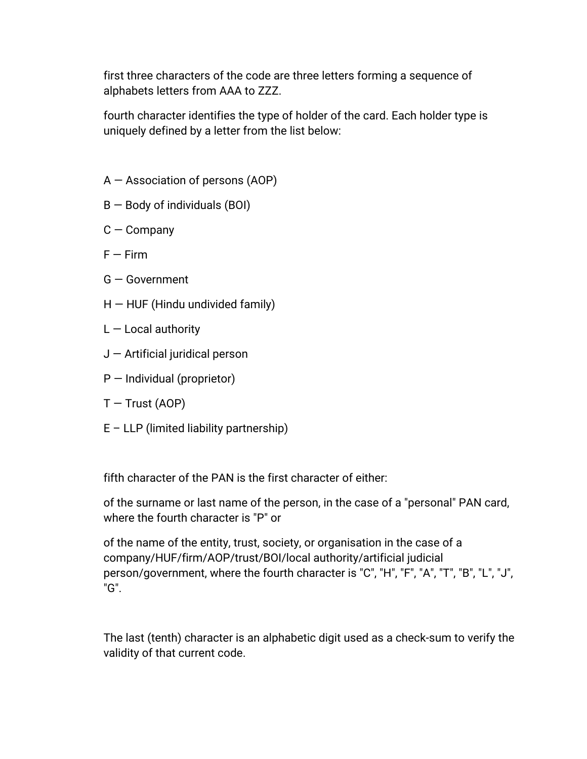first three characters of the code are three letters forming a sequence of alphabets letters from AAA to ZZZ.

fourth character identifies the type of holder of the card. Each holder type is uniquely defined by a letter from the list below:

- $A -$ Association of persons (AOP)
- $B -$ Body of individuals (BOI)
- $C$  Company
- $F Firm$
- G—Government
- $H$  HUF (Hindu undivided family)
- $L -$  Local authority
- $J$  Artificial juridical person
- $P$  Individual (proprietor)
- $T$  Trust (AOP)
- $E$  LLP (limited liability partnership)

fifth character of the PAN is the first character of either:

of the surname or last name of the person, in the case of a "personal" PAN card, where the fourth character is "P" or

of the name of the entity, trust, society, or organisation in the case of a company/HUF/firm/AOP/trust/BOI/local authority/artificial judicial person/government, where the fourth character is "C", "H", "F", "A", "T", "B", "L", "J", "G".

The last (tenth) character is an alphabetic digit used as a check-sum to verify the validity of that current code.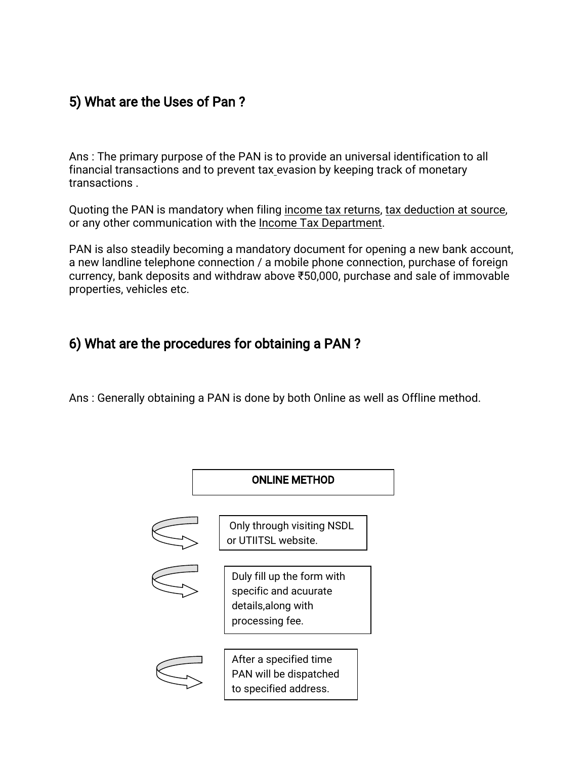#### 5) What are the Uses of Pan?

Ans: The primary purpose of the PAN is to provide an universal identification to all financial transactions and to prevent tax evasion by keeping track of monetary transactions.

Quoting the PAN is mandatory when filing income tax returns, tax deduction at source, or any other communication with the Income Tax Department.

PAN is also steadily becoming a mandatory document for opening a new bank account, a new landline telephone connection / a mobile phone connection, purchase of foreign currency, bank deposits and withdraw above ₹50,000, purchase and sale of immovable properties, vehicles etc.

## 6) What are the procedures for obtaining a PAN?

Ans: Generally obtaining a PAN is done by both Online as well as Offline method.

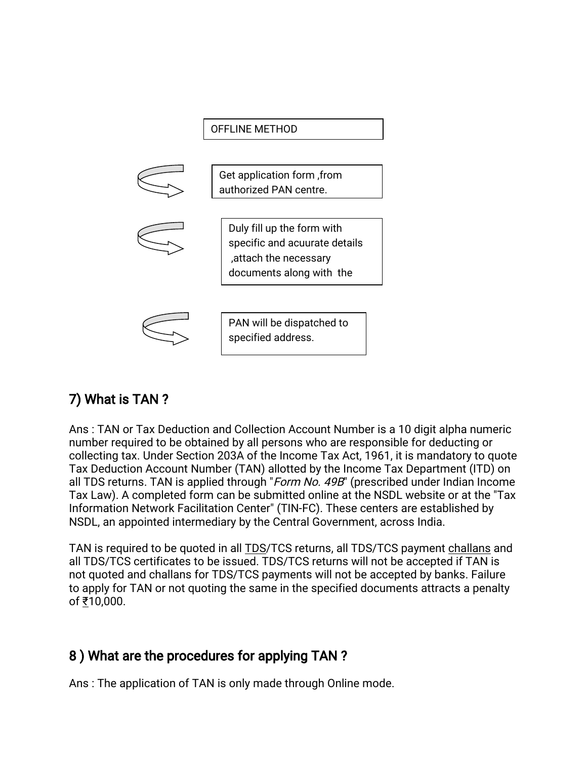

## 7) What is TAN?

Ans: TAN or Tax Deduction and Collection Account Number is a 10 digit alpha numeric number required to be obtained by all persons who are responsible for deducting or collecting tax. Under Section 203A of the Income Tax Act, 1961, it is mandatory to quote Tax Deduction Account Number (TAN) allotted by the Income Tax Department (ITD) on all TDS returns. TAN is applied through "Form No. 49B" (prescribed under Indian Income Tax Law). A completed form can be submitted online at the NSDL website or at the "Tax Information Network Facilitation Center" (TIN-FC). These centers are established by NSDL, an appointed intermediary by the Central Government, across India.

TAN is required to be quoted in all TDS/TCS returns, all TDS/TCS payment challans and all TDS/TCS certificates to be issued. TDS/TCS returns will not be accepted if TAN is not quoted and challans for TDS/TCS payments will not be accepted by banks. Failure to apply for TAN or not quoting the same in the specified documents attracts a penalty of₹10,000.

## 8) What are the procedures for applying TAN?

Ans: The application of TAN is only made through Online mode.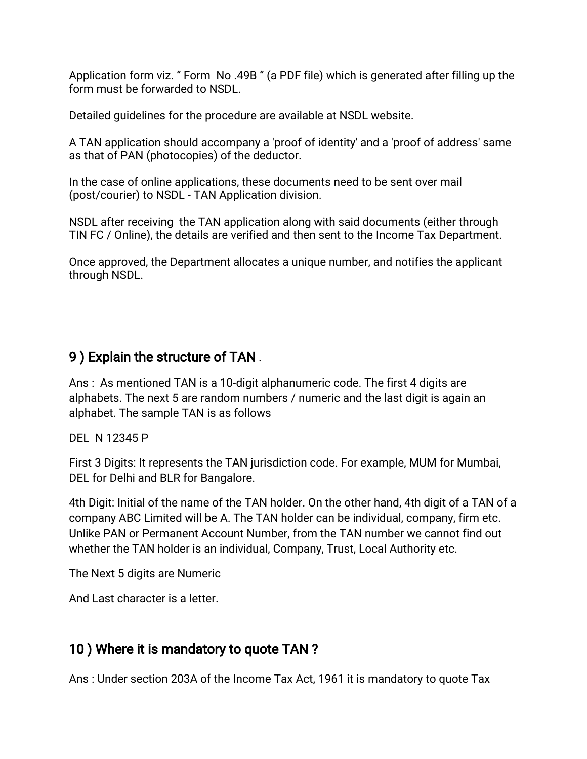Application form viz. "Form No.49B" (a PDF file) which is generated after filling up the form must be forwarded to NSDL.

Detailed quidelines for the procedure are available at NSDL website.

A TAN application should accompany a 'proof of identity' and a 'proof of address' same as that of PAN (photocopies) of the deductor.

In the case of online applications, these documents need to be sent over mail (post/courier) to NSDL - TAN Application division.

NSDL after receiving the TAN application along with said documents (either through TIN FC / Online), the details are verified and then sent to the Income Tax Department.

Once approved, the Department allocates a unique number, and notifies the applicant through NSDL.

#### 9) Explain the structure of TAN.

Ans: As mentioned TAN is a 10-digit alphanumeric code. The first 4 digits are alphabets. The next 5 are random numbers / numeric and the last digit is again an alphabet. The sample TAN is as follows

DEL N 12345 P

First 3 Digits: It represents the TAN jurisdiction code. For example, MUM for Mumbai, DEL for Delhi and BLR for Bangalore.

4th Digit: Initial of the name of the TAN holder. On the other hand, 4th digit of a TAN of a company ABC Limited will be A. The TAN holder can be individual, company, firm etc. Unlike PAN or Permanent Account Number, from the TAN number we cannot find out whether the TAN holder is an individual, Company, Trust, Local Authority etc.

The Next 5 digits are Numeric

And Last character is a letter.

## 10) Where it is mandatory to quote TAN?

Ans: Under section 203A of the Income Tax Act, 1961 it is mandatory to quote Tax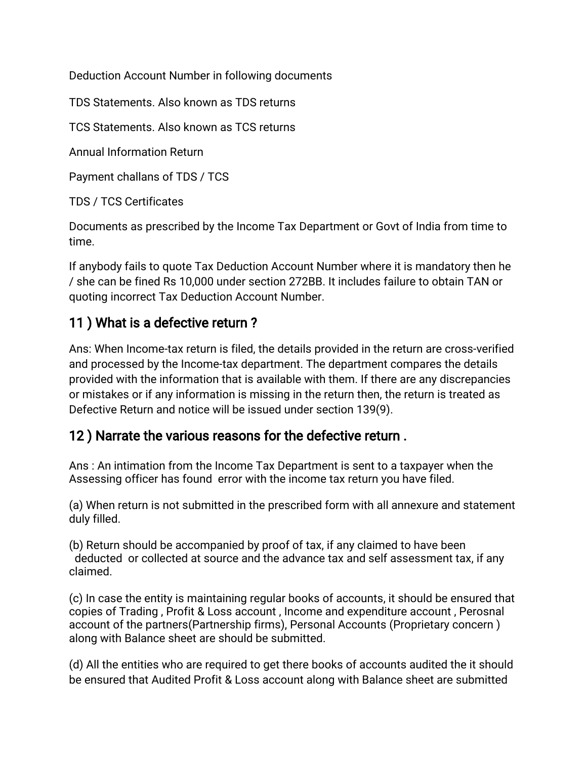Deduction Account Number in following documents

TDS Statements. Also known as TDS returns

TCS Statements. Also known as TCS returns

Annual Information Return

Payment challans of TDS / TCS

TDS / TCS Certificates

Documents as prescribed by the Income Tax Department or Govt of India from time to time.

If anybody fails to quote Tax Deduction Account Number where it is mandatory then he /shecanbefinedRs10,000undersection272BB.ItincludesfailuretoobtainTANor quoting incorrect Tax Deduction Account Number.

## 11) What is a defective return?

Ans: When Income-tax return is filed, the details provided in the return are cross-verified and processed by the Income-tax department. The department compares the details provided with the information that is available with them. If there are any discrepancies or mistakes or if any information is missing in the return then, the return is treated as Defective Return and notice will be issued under section 139(9).

#### 12) Narrate the various reasons for the defective return.

Ans: An intimation from the Income Tax Department is sent to a taxpayer when the Assessing officer has found error with the income tax return you have filed.

(a) When return is not submitted in the prescribed form with all annexure and statement duly filled.

(b) Return should be accompanied by proof of tax, if any claimed to have been deducted or collected at source and the advance tax and self assessment tax, if any claimed.

(c) In case the entity is maintaining regular books of accounts, it should be ensured that copies of Trading, Profit & Loss account, Income and expenditure account, Perosnal account of the partners(Partnership firms), Personal Accounts (Proprietary concern) along with Balance sheet are should be submitted.

(d) All the entities who are required to get there books of accounts audited the it should be ensured that Audited Profit & Loss account along with Balance sheet are submitted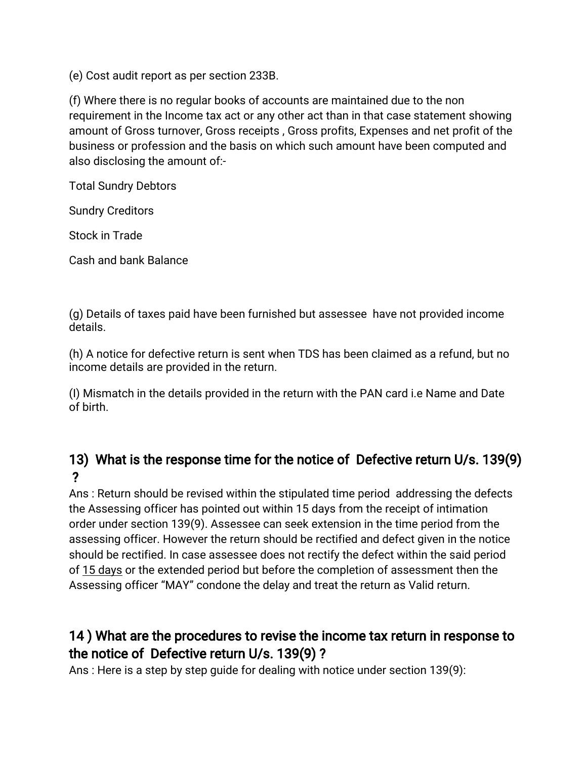(e) Cost audit report as per section 233B.

(f) Where there is no regular books of accounts are maintained due to the non requirement in the Income tax act or any other act than in that case statement showing amount of Gross turnover, Gross receipts, Gross profits, Expenses and net profit of the business or profession and the basis on which such amount have been computed and also disclosing the amount of:-

Total Sundry Debtors

Sundry Creditors

Stock in Trade

Cash and bank Balance

(g) Details of taxes paid have been furnished but assessee have not provided income details.

(h) A notice for defective return is sent when TDS has been claimed as a refund, but no income details are provided in the return.

(I) Mismatch in the details provided in the return with the PAN card i.e Name and Date of birth.

## 13) What is the response time for the notice of Defective return U/s. 139(9) ?

Ans: Return should be revised within the stipulated time period addressing the defects the Assessing officer has pointed out within 15 days from the receipt of intimation order under section 139(9). Assessee can seek extension in the time period from the assessing officer. However the return should be rectified and defect given in the notice should be rectified. In case assessee does not rectify the defect within the said period of 15 days or the extended period but before the completion of assessment then the Assessing officer "MAY" condone the delay and treat the return as Valid return.

## 14) What are the procedures to revise the income tax return in response to the notice of Defective return U/s. 139(9)?

Ans: Here is a step by step quide for dealing with notice under section 139(9):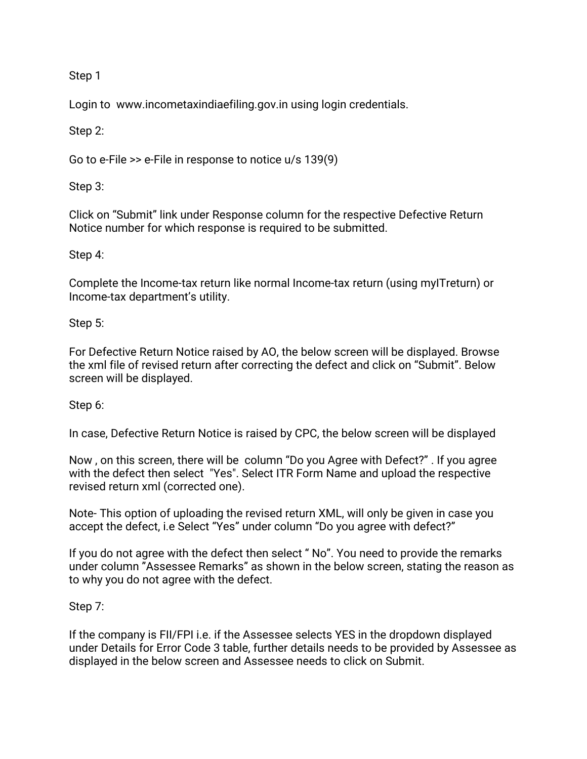Step 1

Login to www.incometaxindiaefiling.gov.in using login credentials.

Step 2:

Go to e-File  $\gg$  e-File in response to notice u/s 139(9)

Step3:

Click on "Submit" link under Response column for the respective Defective Return Notice number for which response is required to be submitted.

Step 4:

Complete the Income-tax return like normal Income-tax return (using myITreturn) or Income-tax department's utility.

Step 5:

For Defective Return Notice raised by AO, the below screen will be displayed. Browse the xml file of revised return after correcting the defect and click on "Submit". Below screen will be displayed.

Step 6:

In case, Defective Return Notice is raised by CPC, the below screen will be displayed

Now, on this screen, there will be column "Do you Agree with Defect?". If you agree with the defect then select "Yes". Select ITR Form Name and upload the respective revised return xml (corrected one).

Note-This option of uploading the revised return XML, will only be given in case you accept the defect, i.e Select "Yes" under column "Do you agree with defect?"

If you do not agree with the defect then select "No". You need to provide the remarks under column "Assessee Remarks" as shown in the below screen, stating the reason as to why you do not agree with the defect.

Step 7:

If the company is FII/FPI i.e. if the Assessee selects YES in the dropdown displayed under Details for Error Code 3 table, further details needs to be provided by Assessee as displayed in the below screen and Assessee needs to click on Submit.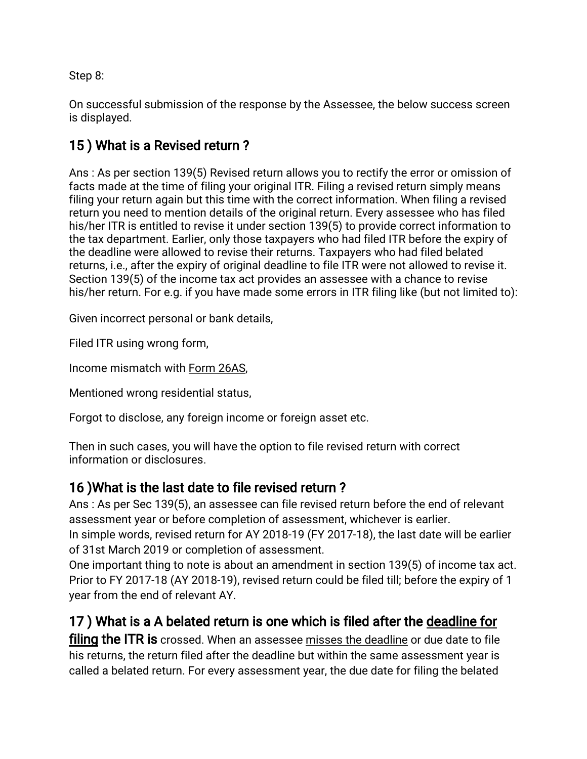Step 8:

On successful submission of the response by the Assessee, the below success screen is displayed.

## 15) What is a Revised return?

Ans: As per section 139(5) Revised return allows you to rectify the error or omission of facts made at the time of filing your original ITR. Filing a revised return simply means filing your return again but this time with the correct information. When filing a revised return you need to mention details of the original return. Every assessee who has filed his/her ITR is entitled to revise it under section 139(5) to provide correct information to the tax department. Earlier, only those taxpayers who had filed ITR before the expiry of the deadline were allowed to revise their returns. Taxpayers who had filed belated returns, i.e., after the expiry of original deadline to file ITR were not allowed to revise it. Section 139(5) of the income tax act provides an assessee with a chance to revise his/her return. For e.g. if you have made some errors in ITR filing like (but not limited to):

Given incorrect personal or bank details,

Filed ITR using wrong form,

Income mismatch with Form 26AS,

Mentioned wrong residential status,

Forgot to disclose, any foreign income or foreign asset etc.

Then in such cases, you will have the option to file revised return with correct information or disclosures.

#### 16) What is the last date to file revised return?

Ans: As per Sec 139(5), an assessee can file revised return before the end of relevant assessment year or before completion of assessment, whichever is earlier.

In simple words, revised return for AY 2018-19 (FY 2017-18), the last date will be earlier of 31st March 2019 or completion of assessment.

One important thing to note is about an amendment in section 139(5) of income tax act. Prior to FY 2017-18 (AY 2018-19), revised return could be filed till; before the expiry of 1 year from the end of relevant AY.

#### 17) What is a A belated return is one which is filed after the deadline for

filing the ITR is crossed. When an assessee misses the deadline or due date to file his returns, the return filed after the deadline but within the same assessment year is called a belated return. For every assessment year, the due date for filing the belated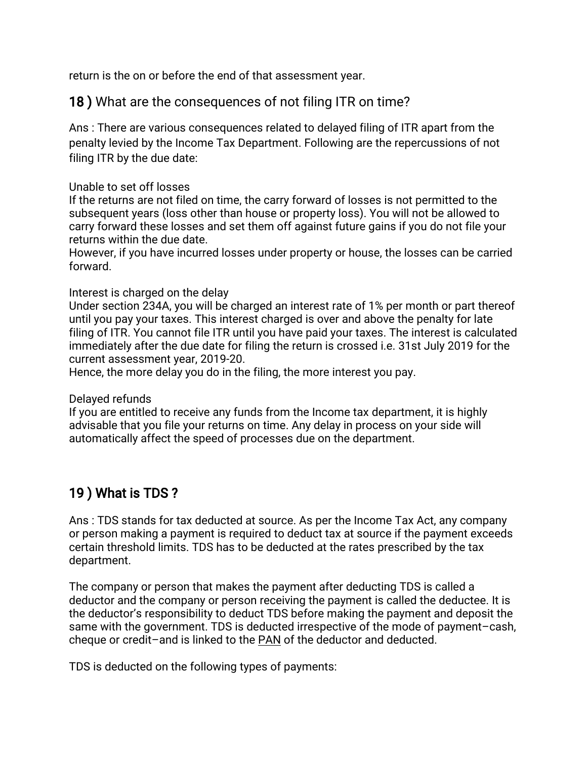return is the on or before the end of that assessment year.

18) What are the consequences of not filing ITR on time?

Ans: There are various consequences related to delayed filing of ITR apart from the penalty levied by the Income Tax Department. Following are the repercussions of not filing ITR by the due date:

#### Unable to set off losses

If the returns are not filed on time, the carry forward of losses is not permitted to the subsequent years (loss other than house or property loss). You will not be allowed to carry forward these losses and set them off against future gains if you do not file your returns within the due date.

However, if you have incurred losses under property or house, the losses can be carried forward.

#### Interest is charged on the delay

Under section 234A, you will be charged an interest rate of 1% per month or part thereof until you pay your taxes. This interest charged is over and above the penalty for late filing of ITR. You cannot file ITR until you have paid your taxes. The interest is calculated immediately after the due date for filing the return is crossed i.e. 31st July 2019 for the current assessment year, 2019-20.

Hence, the more delay you do in the filing, the more interest you pay.

#### Delayed refunds

If you are entitled to receive any funds from the Income tax department, it is highly advisable that you file your returns on time. Any delay in process on your side will automatically affect the speed of processes due on the department.

#### 19) What is TDS?

Ans: TDS stands for tax deducted at source. As per the Income Tax Act, any company or person making a payment is required to deduct tax at source if the payment exceeds certain threshold limits. TDS has to be deducted at the rates prescribed by the tax department.

The company or person that makes the payment after deducting TDS is called a deductor and the company or person receiving the payment is called the deductee. It is the deductor's responsibility to deduct TDS before making the payment and deposit the same with the government. TDS is deducted irrespective of the mode of payment–cash, cheque or credit-and is linked to the PAN of the deductor and deducted.

TDS is deducted on the following types of payments: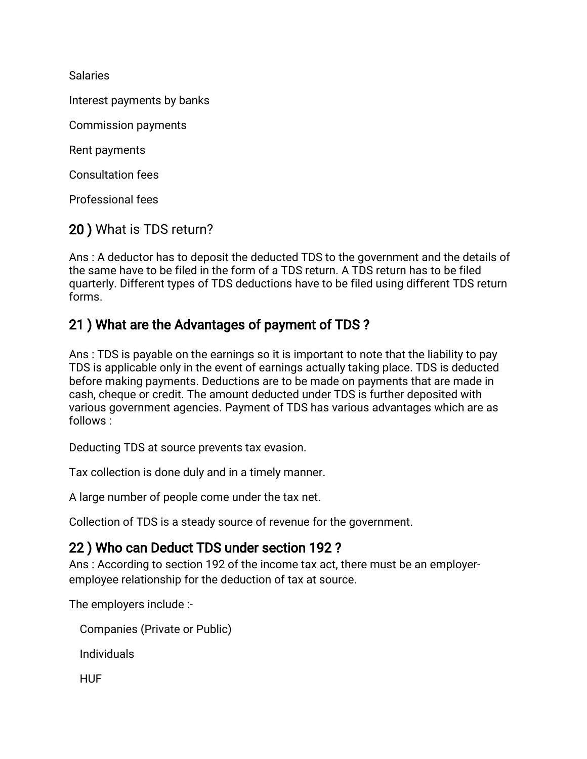Salaries

Interest payments by banks

Commission payments

Rent payments

**Consultation fees** 

Professional fees

#### 20) What is TDS return?

Ans: A deductor has to deposit the deducted TDS to the government and the details of the same have to be filed in the form of a TDS return. A TDS return has to be filed quarterly. Different types of TDS deductions have to be filed using different TDS return forms.

#### 21) What are the Advantages of payment of TDS?

Ans: TDS is payable on the earnings so it is important to note that the liability to pay TDS is applicable only in the event of earnings actually taking place. TDS is deducted before making payments. Deductions are to be made on payments that are made in cash, cheque or credit. The amount deducted under TDS is further deposited with various government agencies. Payment of TDS has various advantages which are as follows:

Deducting TDS at source prevents tax evasion.

Tax collection is done duly and in a timely manner.

A large number of people come under the tax net.

Collection of TDS is a steady source of revenue for the government.

#### 22) Who can Deduct TDS under section 192?

Ans: According to section 192 of the income tax act, there must be an employeremployee relationship for the deduction of tax at source.

The employers include:-

```
Companies (Private or Public)
```
Individuals

**HUF**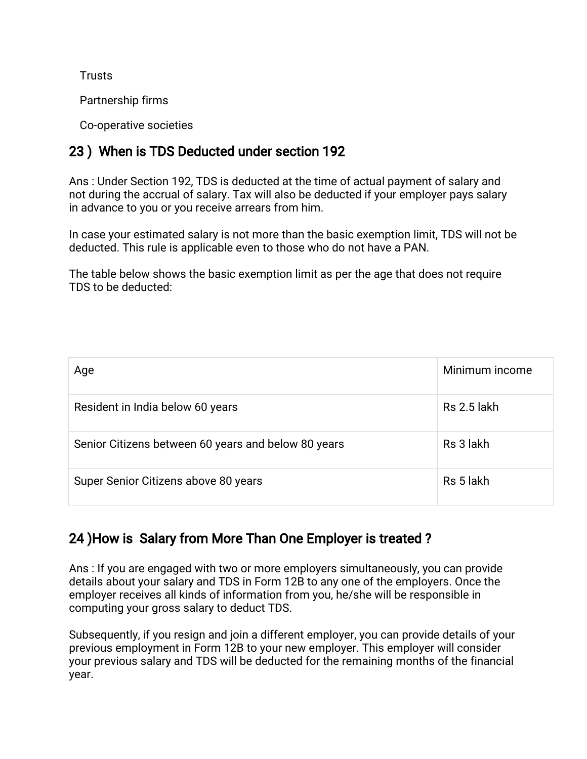**Trusts** 

Partnership firms

Co-operative societies

## 23) When is TDS Deducted under section 192

Ans: Under Section 192, TDS is deducted at the time of actual payment of salary and not during the accrual of salary. Tax will also be deducted if your employer pays salary in advance to you or you receive arrears from him.

In case your estimated salary is not more than the basic exemption limit, TDS will not be deducted. This rule is applicable even to those who do not have a PAN.

The table below shows the basic exemption limit as per the age that does not require TDStobededucted:

| Age                                                 | Minimum income |
|-----------------------------------------------------|----------------|
| Resident in India below 60 years                    | Rs 2.5 lakh    |
| Senior Citizens between 60 years and below 80 years | Rs 3 lakh      |
| Super Senior Citizens above 80 years                | Rs 5 lakh      |

## 24) How is Salary from More Than One Employer is treated?

Ans: If you are engaged with two or more employers simultaneously, you can provide details about your salary and TDS in Form 12B to any one of the employers. Once the employer receives all kinds of information from you, he/she will be responsible in computing your gross salary to deduct TDS.

Subsequently, if you resign and join a different employer, you can provide details of your previous employment in Form 12B to your new employer. This employer will consider your previous salary and TDS will be deducted for the remaining months of the financial year.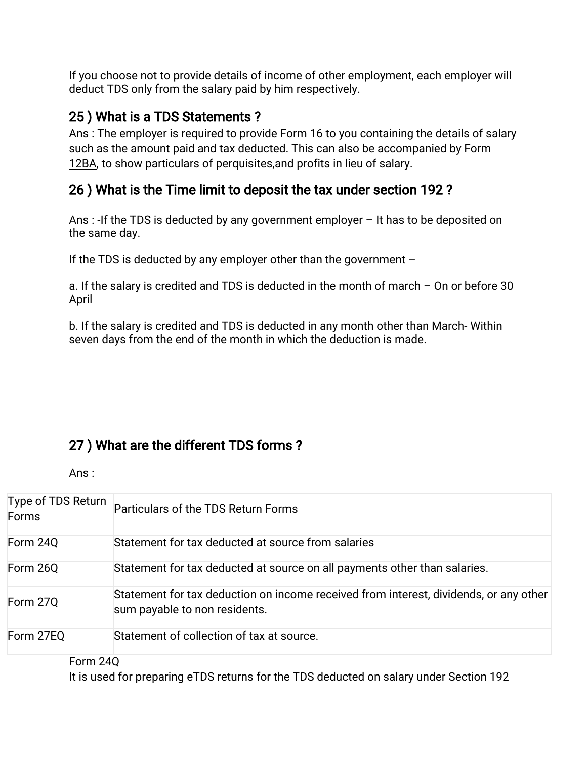If you choose not to provide details of income of other employment, each employer will deduct TDS only from the salary paid by him respectively.

## 25) What is a TDS Statements?

Ans: The employer is required to provide Form 16 to you containing the details of salary such as the amount paid and tax deducted. This can also be accompanied by Form 12BA, to show particulars of perquisites, and profits in lieu of salary.

#### 26) What is the Time limit to deposit the tax under section 192?

Ans: -If the TDS is deducted by any government employer  $-$  It has to be deposited on the same day.

If the TDS is deducted by any employer other than the government  $-$ 

a. If the salary is credited and TDS is deducted in the month of march – On or before 30 April

b. If the salary is credited and TDS is deducted in any month other than March-Within seven days from the end of the month in which the deduction is made.

## 27) What are the different TDS forms?

Ans:

| Type of TDS Return<br>Forms | Particulars of the TDS Return Forms                                                                                    |
|-----------------------------|------------------------------------------------------------------------------------------------------------------------|
| Form 24Q                    | Statement for tax deducted at source from salaries                                                                     |
| Form 26Q                    | Statement for tax deducted at source on all payments other than salaries.                                              |
| Form 27Q                    | Statement for tax deduction on income received from interest, dividends, or any other<br>sum payable to non residents. |
| Form 27EQ                   | Statement of collection of tax at source.                                                                              |

#### Form24Q

It is used for preparing eTDS returns for the TDS deducted on salary under Section 192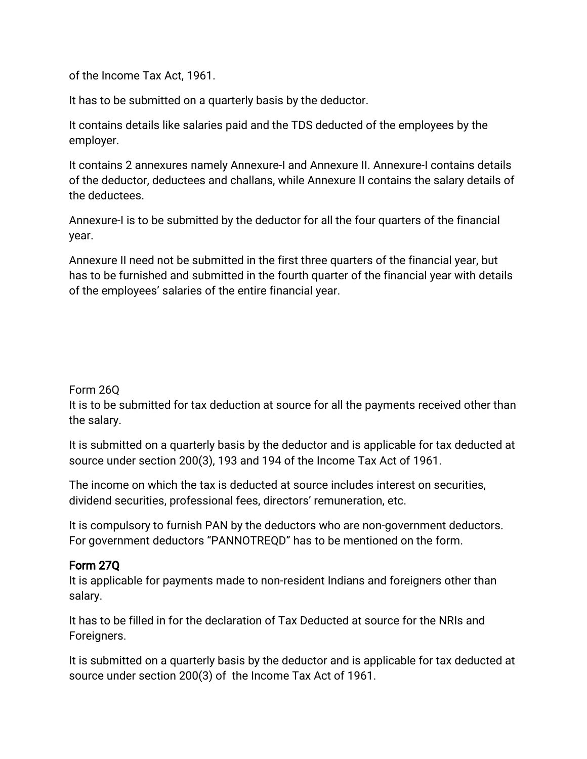of the Income Tax Act, 1961.

It has to be submitted on a quarterly basis by the deductor.

It contains details like salaries paid and the TDS deducted of the employees by the employer.

It contains 2 annexures namely Annexure-I and Annexure II. Annexure-I contains details of the deductor, deductees and challans, while Annexure II contains the salary details of the deductees.

Annexure-I is to be submitted by the deductor for all the four quarters of the financial year.

Annexure II need not be submitted in the first three quarters of the financial year, but has to be furnished and submitted in the fourth quarter of the financial year with details of the employees' salaries of the entire financial year.

#### Form26Q

It is to be submitted for tax deduction at source for all the payments received other than the salary.

It is submitted on a quarterly basis by the deductor and is applicable for tax deducted at source under section 200(3), 193 and 194 of the Income Tax Act of 1961.

The income on which the tax is deducted at source includes interest on securities, dividend securities, professional fees, directors' remuneration, etc.

It is compulsory to furnish PAN by the deductors who are non-government deductors. For government deductors "PANNOTREQD" has to be mentioned on the form.

#### Form27Q

It is applicable for payments made to non-resident Indians and foreigners other than salary.

It has to be filled in for the declaration of Tax Deducted at source for the NRIs and Foreigners.

It is submitted on a quarterly basis by the deductor and is applicable for tax deducted at source under section 200(3) of the Income Tax Act of 1961.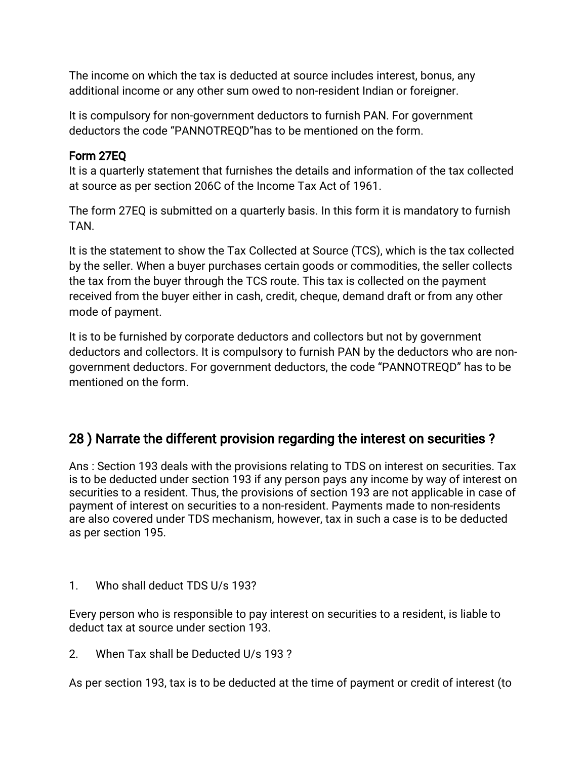The income on which the tax is deducted at source includes interest, bonus, any additional income or any other sum owed to non-resident Indian or foreigner.

It is compulsory for non-government deductors to furnish PAN. For government deductors the code "PANNOTREQD"has to be mentioned on the form.

#### Form27EQ

It is a quarterly statement that furnishes the details and information of the tax collected at source as per section 206C of the Income Tax Act of 1961.

The form 27EQ is submitted on a quarterly basis. In this form it is mandatory to furnish TAN.

It is the statement to show the Tax Collected at Source (TCS), which is the tax collected by the seller. When a buyer purchases certain goods or commodities, the seller collects the tax from the buyer through the TCS route. This tax is collected on the payment received from the buyer either in cash, credit, cheque, demand draft or from any other mode of payment.

It is to be furnished by corporate deductors and collectors but not by government deductors and collectors. It is compulsory to furnish PAN by the deductors who are nongovernment deductors. For government deductors, the code "PANNOTREQD" has to be mentioned on the form.

#### 28) Narrate the different provision regarding the interest on securities?

Ans: Section 193 deals with the provisions relating to TDS on interest on securities. Tax is to be deducted under section 193 if any person pays any income by way of interest on securities to a resident. Thus, the provisions of section 193 are not applicable in case of payment of interest on securities to a non-resident. Payments made to non-residents are also covered under TDS mechanism, however, tax in such a case is to be deducted as per section 195.

1. Who shall deduct TDS U/s 193?

Every person who is responsible to pay interest on securities to a resident, is liable to deduct tax at source under section 193.

2. When Tax shall be Deducted U/s 193?

As per section 193, tax is to be deducted at the time of payment or credit of interest (to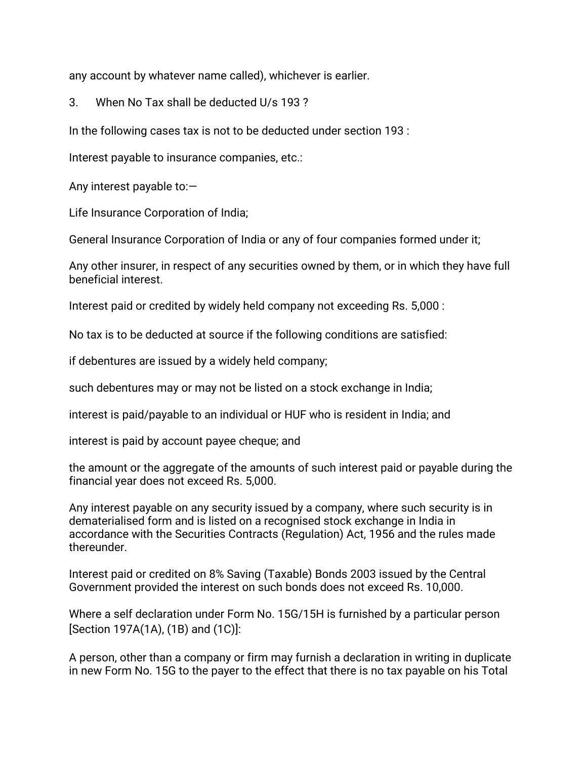any account by whatever name called), whichever is earlier.

3. When No Tax shall be deducted U/s 193?

In the following cases tax is not to be deducted under section 193:

Interest payable to insurance companies, etc.:

Any interest payable to: $-$ 

Life Insurance Corporation of India;

General Insurance Corporation of India or any of four companies formed under it;

Any other insurer, in respect of any securities owned by them, or in which they have full beneficial interest.

Interest paid or credited by widely held company not exceeding Rs. 5,000:

No tax is to be deducted at source if the following conditions are satisfied:

if debentures are issued by a widely held company;

such debentures may or may not be listed on a stock exchange in India;

interest is paid/payable to an individual or HUF who is resident in India; and

interest is paid by account payee cheque; and

the amount or the aggregate of the amounts of such interest paid or payable during the financial year does not exceed Rs. 5,000.

Any interest payable on any security issued by a company, where such security is in dematerialised form and is listed on a recognised stock exchange in India in accordance with the Securities Contracts (Regulation) Act, 1956 and the rules made thereunder.

Interest paid or credited on 8% Saving (Taxable) Bonds 2003 issued by the Central Government provided the interest on such bonds does not exceed Rs. 10,000.

Where a self declaration under Form No. 15G/15H is furnished by a particular person [Section 197A(1A),  $(1B)$  and  $(1C)$ ]:

A person, other than a company or firm may furnish a declaration in writing in duplicate in new Form No. 15G to the payer to the effect that there is no tax payable on his Total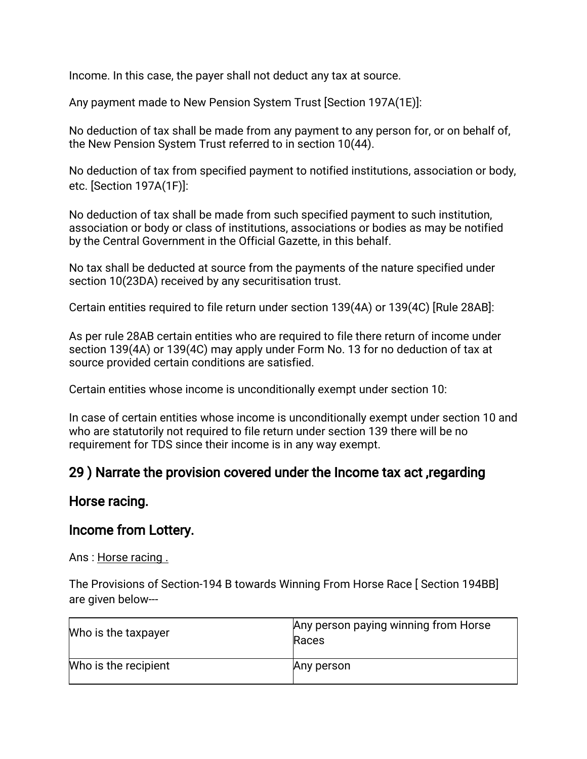Income. In this case, the payer shall not deduct any tax at source.

Any payment made to New Pension System Trust [Section 197A(1E)]:

No deduction of tax shall be made from any payment to any person for, or on behalf of, the New Pension System Trust referred to in section 10(44).

No deduction of tax from specified payment to notified institutions, association or body, etc. [Section 197A(1F)]:

No deduction of tax shall be made from such specified payment to such institution, association or body or class of institutions, associations or bodies as may be notified by the Central Government in the Official Gazette, in this behalf.

No tax shall be deducted at source from the payments of the nature specified under section 10(23DA) received by any securitisation trust.

Certain entities required to file return under section 139(4A) or 139(4C) [Rule 28AB]:

As per rule 28AB certain entities who are required to file there return of income under section 139(4A) or 139(4C) may apply under Form No. 13 for no deduction of tax at source provided certain conditions are satisfied.

Certain entities whose income is unconditionally exempt under section 10:

In case of certain entities whose income is unconditionally exempt under section 10 and who are statutorily not required to file return under section 139 there will be no requirement for TDS since their income is in any way exempt.

#### 29) Narrate the provision covered under the Income tax act, regarding

#### Horse racing.

#### Income from Lottery.

Ans: Horse racing.

The Provisions of Section-194 B towards Winning From Horse Race [Section 194BB] are given below---

| Who is the taxpayer  | Any person paying winning from Horse<br>Races |
|----------------------|-----------------------------------------------|
| Who is the recipient | Any person                                    |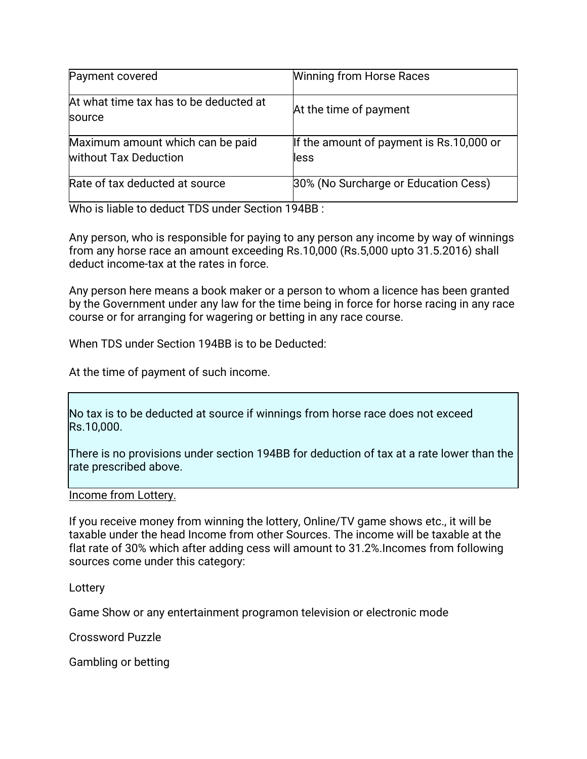| Payment covered                                           | <b>Winning from Horse Races</b>                  |
|-----------------------------------------------------------|--------------------------------------------------|
| At what time tax has to be deducted at<br>source          | At the time of payment                           |
| Maximum amount which can be paid<br>without Tax Deduction | If the amount of payment is Rs.10,000 or<br>less |
| Rate of tax deducted at source                            | 30% (No Surcharge or Education Cess)             |

Who is liable to deduct TDS under Section 194BB:

Any person, who is responsible for paying to any person any income by way of winnings from any horse race an amount exceeding Rs.10,000 (Rs.5,000 upto 31.5.2016) shall deduct income-tax at the rates in force.

Any person here means a book maker or a person to whom a licence has been granted by the Government under any law for the time being in force for horse racing in any race course or for arranging for wagering or betting in any race course.

When TDS under Section 194BB is to be Deducted:

At the time of payment of such income.

No tax is to be deducted at source if winnings from horse race does not exceed Rs.10,000.

There is no provisions under section 194BB for deduction of tax at a rate lower than the rate prescribed above.

Income from Lottery.

If you receive money from winning the lottery, Online/TV game shows etc., it will be taxable under the head Income from other Sources. The income will be taxable at the flat rate of 30% which after adding cess will amount to 31.2%. Incomes from following sources come under this category:

Lottery

Game Show or any entertainment programon television or electronic mode

Crossword Puzzle

Gambling or betting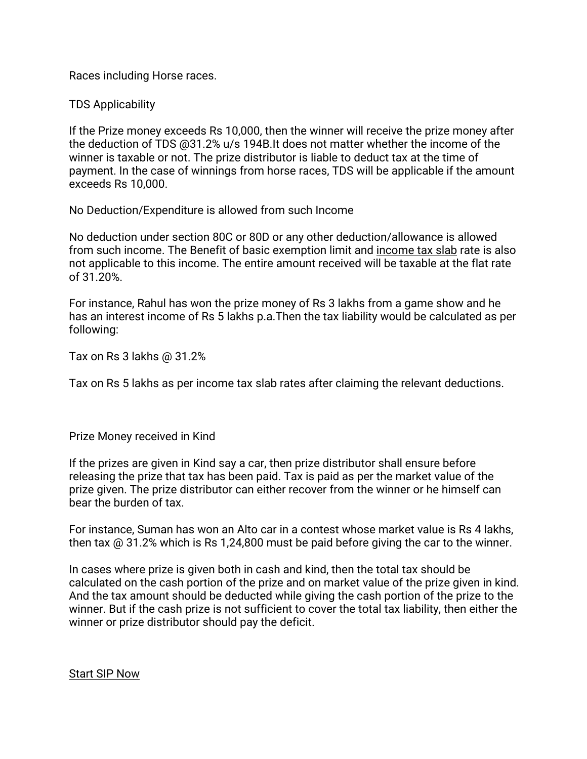Races including Horse races.

**TDS Applicability** 

If the Prize money exceeds Rs 10,000, then the winner will receive the prize money after the deduction of TDS @31.2% u/s 194B.It does not matter whether the income of the winner is taxable or not. The prize distributor is liable to deduct tax at the time of payment. In the case of winnings from horse races, TDS will be applicable if the amount exceeds Rs 10,000.

No Deduction/Expenditure is allowed from such Income

No deduction under section 80C or 80D or any other deduction/allowance is allowed from such income. The Benefit of basic exemption limit and income tax slab rate is also not applicable to this income. The entire amount received will be taxable at the flat rate of31.20%.

For instance, Rahul has won the prize money of Rs 3 lakhs from a game show and he has an interest income of Rs 5 lakhs p.a. Then the tax liability would be calculated as per following:

Tax on Rs  $3$  lakhs  $@31.2\%$ 

Tax on Rs 5 lakhs as per income tax slab rates after claiming the relevant deductions.

Prize Money received in Kind

If the prizes are given in Kind say a car, then prize distributor shall ensure before releasing the prize that tax has been paid. Tax is paid as per the market value of the prize given. The prize distributor can either recover from the winner or he himself can bear the burden of tax.

For instance, Suman has won an Alto car in a contest whose market value is Rs 4 lakhs, then tax  $\omega$  31.2% which is Rs 1,24,800 must be paid before giving the car to the winner.

In cases where prize is given both in cash and kind, then the total tax should be calculated on the cash portion of the prize and on market value of the prize given in kind. And the tax amount should be deducted while giving the cash portion of the prize to the winner. But if the cash prize is not sufficient to cover the total tax liability, then either the winner or prize distributor should pay the deficit.

**Start SIP Now**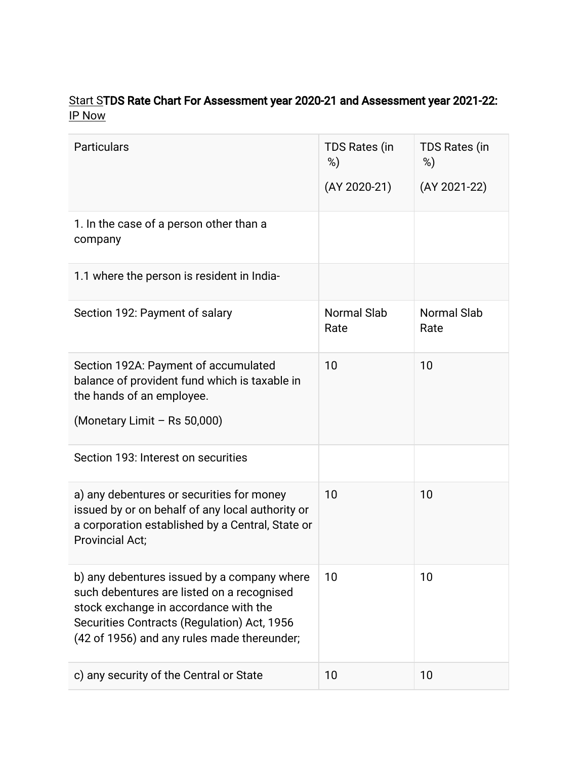#### Start STDS Rate Chart For Assessment year 2020-21 and Assessment year 2021-22: IP Now

| <b>Particulars</b>                                                                                                                                                                                                               | <b>TDS Rates (in</b><br>%)<br>$(AY 2020-21)$ | TDS Rates (in<br>%)<br>(AY 2021-22) |
|----------------------------------------------------------------------------------------------------------------------------------------------------------------------------------------------------------------------------------|----------------------------------------------|-------------------------------------|
| 1. In the case of a person other than a<br>company                                                                                                                                                                               |                                              |                                     |
| 1.1 where the person is resident in India-                                                                                                                                                                                       |                                              |                                     |
| Section 192: Payment of salary                                                                                                                                                                                                   | <b>Normal Slab</b><br>Rate                   | <b>Normal Slab</b><br>Rate          |
| Section 192A: Payment of accumulated<br>balance of provident fund which is taxable in<br>the hands of an employee.<br>(Monetary Limit - Rs 50,000)                                                                               | 10                                           | 10                                  |
| Section 193: Interest on securities                                                                                                                                                                                              |                                              |                                     |
| a) any debentures or securities for money<br>issued by or on behalf of any local authority or<br>a corporation established by a Central, State or<br><b>Provincial Act;</b>                                                      | 10                                           | 10                                  |
| b) any debentures issued by a company where<br>such debentures are listed on a recognised<br>stock exchange in accordance with the<br>Securities Contracts (Regulation) Act, 1956<br>(42 of 1956) and any rules made thereunder; | 10                                           | 10                                  |
| c) any security of the Central or State                                                                                                                                                                                          | 10                                           | 10                                  |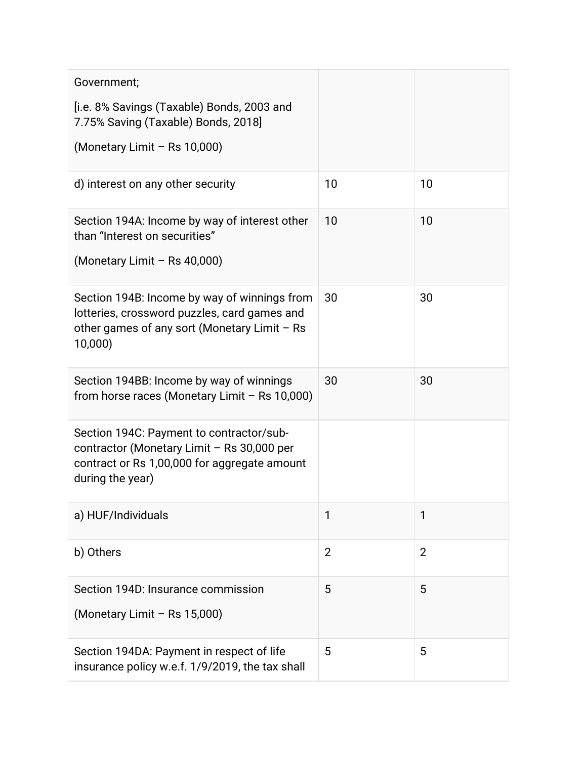| Government;                                                                                                                                                |                |                |
|------------------------------------------------------------------------------------------------------------------------------------------------------------|----------------|----------------|
| [i.e. 8% Savings (Taxable) Bonds, 2003 and<br>7.75% Saving (Taxable) Bonds, 2018]                                                                          |                |                |
| (Monetary Limit - Rs 10,000)                                                                                                                               |                |                |
| d) interest on any other security                                                                                                                          | 10             | 10             |
| Section 194A: Income by way of interest other<br>than "Interest on securities"                                                                             | 10             | 10             |
| (Monetary Limit - Rs 40,000)                                                                                                                               |                |                |
| Section 194B: Income by way of winnings from<br>lotteries, crossword puzzles, card games and<br>other games of any sort (Monetary Limit - Rs<br>10,000)    | 30             | 30             |
| Section 194BB: Income by way of winnings<br>from horse races (Monetary Limit - Rs 10,000)                                                                  | 30             | 30             |
| Section 194C: Payment to contractor/sub-<br>contractor (Monetary Limit - Rs 30,000 per<br>contract or Rs 1,00,000 for aggregate amount<br>during the year) |                |                |
| a) HUF/Individuals                                                                                                                                         | 1              | 1              |
| b) Others                                                                                                                                                  | $\overline{2}$ | $\overline{2}$ |
| Section 194D: Insurance commission<br>(Monetary Limit - Rs 15,000)                                                                                         | 5              | 5              |
| Section 194DA: Payment in respect of life<br>insurance policy w.e.f. 1/9/2019, the tax shall                                                               | 5              | 5              |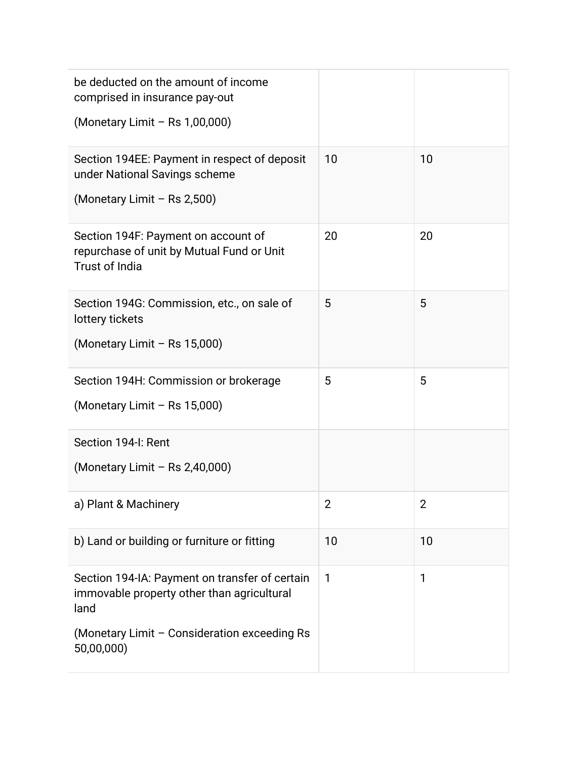| be deducted on the amount of income<br>comprised in insurance pay-out<br>(Monetary Limit - Rs 1,00,000)                                                            |              |                |
|--------------------------------------------------------------------------------------------------------------------------------------------------------------------|--------------|----------------|
| Section 194EE: Payment in respect of deposit<br>under National Savings scheme<br>(Monetary Limit - Rs 2,500)                                                       | 10           | 10             |
| Section 194F: Payment on account of<br>repurchase of unit by Mutual Fund or Unit<br><b>Trust of India</b>                                                          | 20           | 20             |
| Section 194G: Commission, etc., on sale of<br>lottery tickets<br>(Monetary Limit - Rs 15,000)                                                                      | 5            | 5              |
| Section 194H: Commission or brokerage<br>(Monetary Limit - Rs 15,000)                                                                                              | 5            | 5              |
| Section 194-I: Rent<br>(Monetary Limit $-$ Rs 2,40,000)                                                                                                            |              |                |
| a) Plant & Machinery                                                                                                                                               | 2            | $\overline{2}$ |
| b) Land or building or furniture or fitting                                                                                                                        | 10           | 10             |
| Section 194-IA: Payment on transfer of certain<br>immovable property other than agricultural<br>land<br>(Monetary Limit - Consideration exceeding Rs<br>50,00,000) | $\mathbf{1}$ | 1              |
|                                                                                                                                                                    |              |                |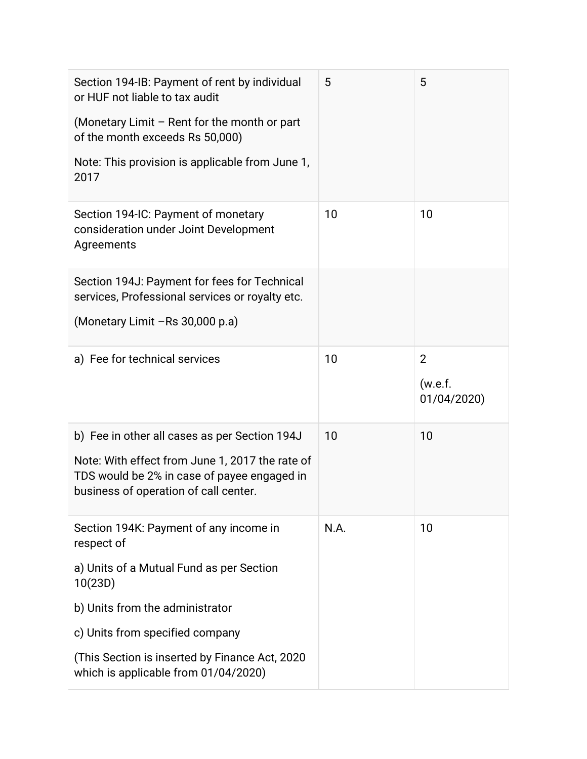| Section 194-IB: Payment of rent by individual<br>or HUF not liable to tax audit<br>(Monetary Limit $-$ Rent for the month or part<br>of the month exceeds Rs 50,000)                     | 5    | 5                                        |
|------------------------------------------------------------------------------------------------------------------------------------------------------------------------------------------|------|------------------------------------------|
| Note: This provision is applicable from June 1,<br>2017                                                                                                                                  |      |                                          |
| Section 194-IC: Payment of monetary<br>consideration under Joint Development<br>Agreements                                                                                               | 10   | 10                                       |
| Section 194J: Payment for fees for Technical<br>services, Professional services or royalty etc.                                                                                          |      |                                          |
| (Monetary Limit -Rs 30,000 p.a)                                                                                                                                                          |      |                                          |
| a) Fee for technical services                                                                                                                                                            | 10   | $\overline{2}$<br>(w.e.f.<br>01/04/2020) |
| b) Fee in other all cases as per Section 194J<br>Note: With effect from June 1, 2017 the rate of<br>TDS would be 2% in case of payee engaged in<br>business of operation of call center. | 10   | 10                                       |
| Section 194K: Payment of any income in<br>respect of                                                                                                                                     | N.A. | 10                                       |
| a) Units of a Mutual Fund as per Section<br>10(23D)                                                                                                                                      |      |                                          |
| b) Units from the administrator                                                                                                                                                          |      |                                          |
| c) Units from specified company                                                                                                                                                          |      |                                          |
| (This Section is inserted by Finance Act, 2020)<br>which is applicable from 01/04/2020)                                                                                                  |      |                                          |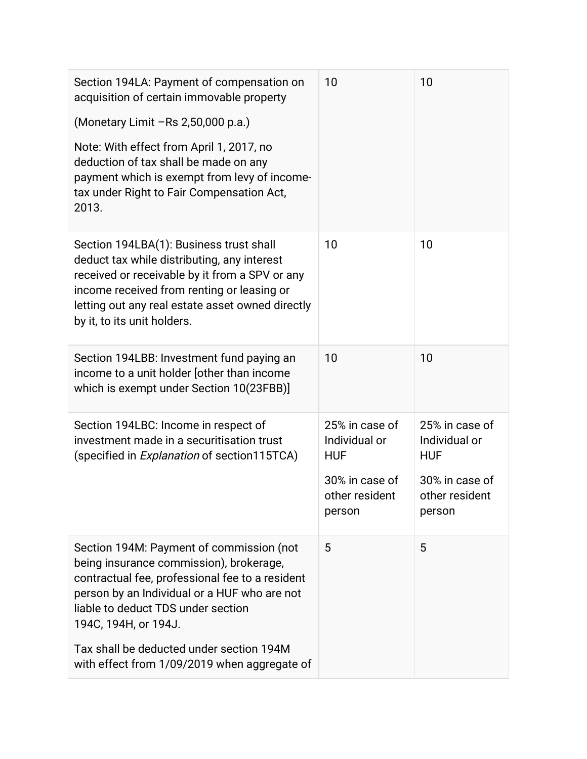| Section 194LA: Payment of compensation on<br>acquisition of certain immovable property<br>(Monetary Limit - Rs 2,50,000 p.a.)<br>Note: With effect from April 1, 2017, no<br>deduction of tax shall be made on any<br>payment which is exempt from levy of income-<br>tax under Right to Fair Compensation Act,<br>2013. | 10                                                                                          | 10                                                                                          |
|--------------------------------------------------------------------------------------------------------------------------------------------------------------------------------------------------------------------------------------------------------------------------------------------------------------------------|---------------------------------------------------------------------------------------------|---------------------------------------------------------------------------------------------|
| Section 194LBA(1): Business trust shall<br>deduct tax while distributing, any interest<br>received or receivable by it from a SPV or any<br>income received from renting or leasing or<br>letting out any real estate asset owned directly<br>by it, to its unit holders.                                                | 10                                                                                          | 10                                                                                          |
| Section 194LBB: Investment fund paying an<br>income to a unit holder (other than income<br>which is exempt under Section 10(23FBB)]                                                                                                                                                                                      | 10                                                                                          | 10                                                                                          |
| Section 194LBC: Income in respect of<br>investment made in a securitisation trust<br>(specified in Explanation of section115TCA)                                                                                                                                                                                         | 25% in case of<br>Individual or<br><b>HUF</b><br>30% in case of<br>other resident<br>person | 25% in case of<br>Individual or<br><b>HUF</b><br>30% in case of<br>other resident<br>person |
| Section 194M: Payment of commission (not<br>being insurance commission), brokerage,<br>contractual fee, professional fee to a resident<br>person by an Individual or a HUF who are not<br>liable to deduct TDS under section<br>194C, 194H, or 194J.                                                                     | 5                                                                                           | 5                                                                                           |
| Tax shall be deducted under section 194M<br>with effect from 1/09/2019 when aggregate of                                                                                                                                                                                                                                 |                                                                                             |                                                                                             |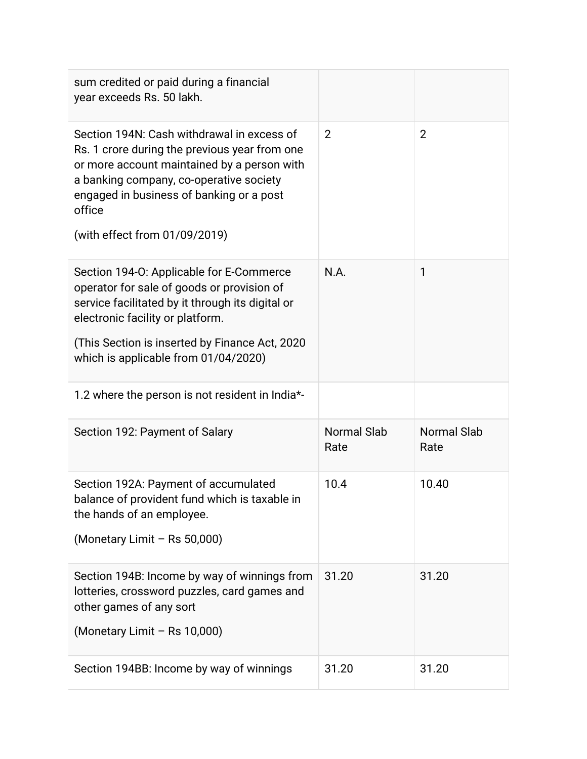| sum credited or paid during a financial<br>year exceeds Rs. 50 lakh.                                                                                                                                                                                                         |                            |                            |
|------------------------------------------------------------------------------------------------------------------------------------------------------------------------------------------------------------------------------------------------------------------------------|----------------------------|----------------------------|
| Section 194N: Cash withdrawal in excess of<br>Rs. 1 crore during the previous year from one<br>or more account maintained by a person with<br>a banking company, co-operative society<br>engaged in business of banking or a post<br>office<br>(with effect from 01/09/2019) | $\overline{2}$             | $\overline{2}$             |
| Section 194-O: Applicable for E-Commerce<br>operator for sale of goods or provision of<br>service facilitated by it through its digital or<br>electronic facility or platform.<br>(This Section is inserted by Finance Act, 2020<br>which is applicable from 01/04/2020)     | N.A.                       | 1                          |
| 1.2 where the person is not resident in India*-                                                                                                                                                                                                                              |                            |                            |
| Section 192: Payment of Salary                                                                                                                                                                                                                                               | <b>Normal Slab</b><br>Rate | <b>Normal Slab</b><br>Rate |
| Section 192A: Payment of accumulated<br>balance of provident fund which is taxable in<br>the hands of an employee.<br>(Monetary Limit - Rs 50,000)                                                                                                                           | 10.4                       | 10.40                      |
| Section 194B: Income by way of winnings from<br>lotteries, crossword puzzles, card games and<br>other games of any sort                                                                                                                                                      | 31.20                      | 31.20                      |
| (Monetary Limit - Rs 10,000)                                                                                                                                                                                                                                                 |                            |                            |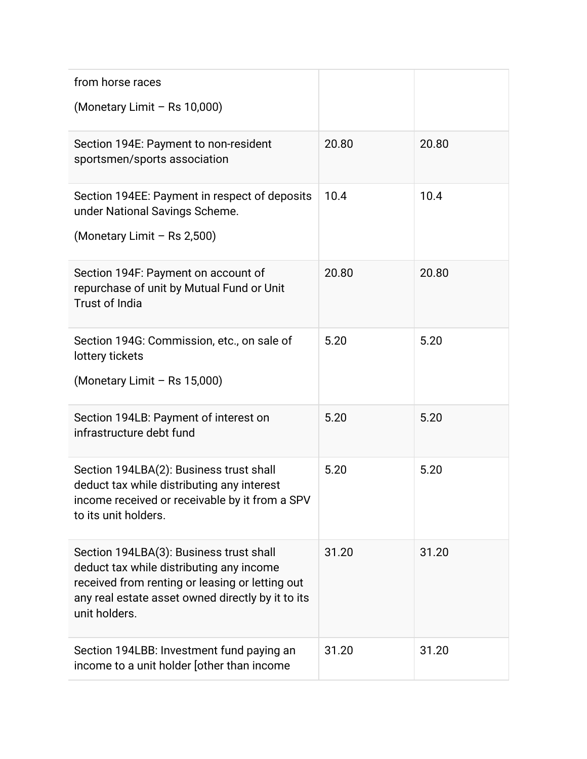| from horse races                                                                                                                                                                                             |       |       |
|--------------------------------------------------------------------------------------------------------------------------------------------------------------------------------------------------------------|-------|-------|
| (Monetary Limit - Rs 10,000)                                                                                                                                                                                 |       |       |
| Section 194E: Payment to non-resident<br>sportsmen/sports association                                                                                                                                        | 20.80 | 20.80 |
| Section 194EE: Payment in respect of deposits<br>under National Savings Scheme.<br>(Monetary Limit - Rs 2,500)                                                                                               | 10.4  | 10.4  |
|                                                                                                                                                                                                              |       |       |
| Section 194F: Payment on account of<br>repurchase of unit by Mutual Fund or Unit<br><b>Trust of India</b>                                                                                                    | 20.80 | 20.80 |
| Section 194G: Commission, etc., on sale of<br>lottery tickets<br>(Monetary Limit - Rs 15,000)                                                                                                                | 5.20  | 5.20  |
|                                                                                                                                                                                                              |       |       |
| Section 194LB: Payment of interest on<br>infrastructure debt fund                                                                                                                                            | 5.20  | 5.20  |
| Section 194LBA(2): Business trust shall<br>deduct tax while distributing any interest<br>income received or receivable by it from a SPV<br>to its unit holders.                                              | 5.20  | 5.20  |
| Section 194LBA(3): Business trust shall<br>deduct tax while distributing any income<br>received from renting or leasing or letting out<br>any real estate asset owned directly by it to its<br>unit holders. | 31.20 | 31.20 |
| Section 194LBB: Investment fund paying an<br>income to a unit holder [other than income                                                                                                                      | 31.20 | 31.20 |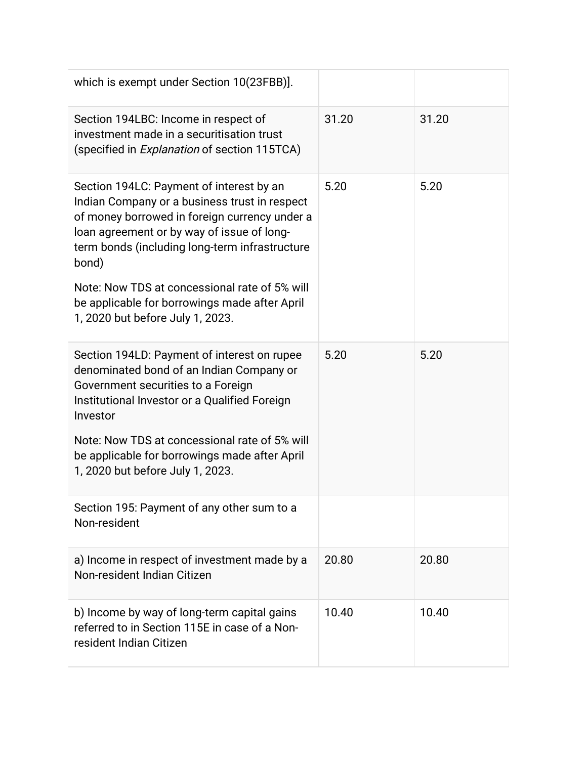| which is exempt under Section 10(23FBB)].                                                                                                                                                                                                                                                                                                             |       |       |
|-------------------------------------------------------------------------------------------------------------------------------------------------------------------------------------------------------------------------------------------------------------------------------------------------------------------------------------------------------|-------|-------|
| Section 194LBC: Income in respect of<br>investment made in a securitisation trust<br>(specified in <i>Explanation</i> of section 115TCA)                                                                                                                                                                                                              | 31.20 | 31.20 |
| Section 194LC: Payment of interest by an<br>Indian Company or a business trust in respect<br>of money borrowed in foreign currency under a<br>loan agreement or by way of issue of long-<br>term bonds (including long-term infrastructure<br>bond)<br>Note: Now TDS at concessional rate of 5% will<br>be applicable for borrowings made after April | 5.20  | 5.20  |
| 1, 2020 but before July 1, 2023.                                                                                                                                                                                                                                                                                                                      |       |       |
| Section 194LD: Payment of interest on rupee<br>denominated bond of an Indian Company or<br>Government securities to a Foreign<br>Institutional Investor or a Qualified Foreign<br>Investor                                                                                                                                                            | 5.20  | 5.20  |
| Note: Now TDS at concessional rate of 5% will<br>be applicable for borrowings made after April<br>1, 2020 but before July 1, 2023.                                                                                                                                                                                                                    |       |       |
| Section 195: Payment of any other sum to a<br>Non-resident                                                                                                                                                                                                                                                                                            |       |       |
| a) Income in respect of investment made by a<br>Non-resident Indian Citizen                                                                                                                                                                                                                                                                           | 20.80 | 20.80 |
| b) Income by way of long-term capital gains<br>referred to in Section 115E in case of a Non-<br>resident Indian Citizen                                                                                                                                                                                                                               | 10.40 | 10.40 |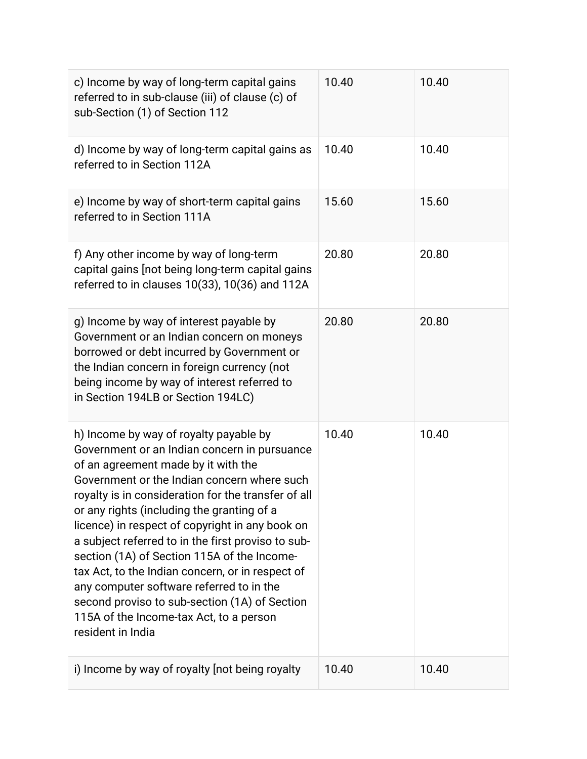| c) Income by way of long-term capital gains<br>referred to in sub-clause (iii) of clause (c) of<br>sub-Section (1) of Section 112                                                                                                                                                                                                                                                                                                                                                                                                                                                                                                                          | 10.40 | 10.40 |
|------------------------------------------------------------------------------------------------------------------------------------------------------------------------------------------------------------------------------------------------------------------------------------------------------------------------------------------------------------------------------------------------------------------------------------------------------------------------------------------------------------------------------------------------------------------------------------------------------------------------------------------------------------|-------|-------|
| d) Income by way of long-term capital gains as<br>referred to in Section 112A                                                                                                                                                                                                                                                                                                                                                                                                                                                                                                                                                                              | 10.40 | 10.40 |
| e) Income by way of short-term capital gains<br>referred to in Section 111A                                                                                                                                                                                                                                                                                                                                                                                                                                                                                                                                                                                | 15.60 | 15.60 |
| f) Any other income by way of long-term<br>capital gains [not being long-term capital gains<br>referred to in clauses 10(33), 10(36) and 112A                                                                                                                                                                                                                                                                                                                                                                                                                                                                                                              | 20.80 | 20.80 |
| g) Income by way of interest payable by<br>Government or an Indian concern on moneys<br>borrowed or debt incurred by Government or<br>the Indian concern in foreign currency (not<br>being income by way of interest referred to<br>in Section 194LB or Section 194LC)                                                                                                                                                                                                                                                                                                                                                                                     | 20.80 | 20.80 |
| h) Income by way of royalty payable by<br>Government or an Indian concern in pursuance<br>of an agreement made by it with the<br>Government or the Indian concern where such<br>royalty is in consideration for the transfer of all<br>or any rights (including the granting of a<br>licence) in respect of copyright in any book on<br>a subject referred to in the first proviso to sub-<br>section (1A) of Section 115A of the Income-<br>tax Act, to the Indian concern, or in respect of<br>any computer software referred to in the<br>second proviso to sub-section (1A) of Section<br>115A of the Income-tax Act, to a person<br>resident in India | 10.40 | 10.40 |
| i) Income by way of royalty [not being royalty                                                                                                                                                                                                                                                                                                                                                                                                                                                                                                                                                                                                             | 10.40 | 10.40 |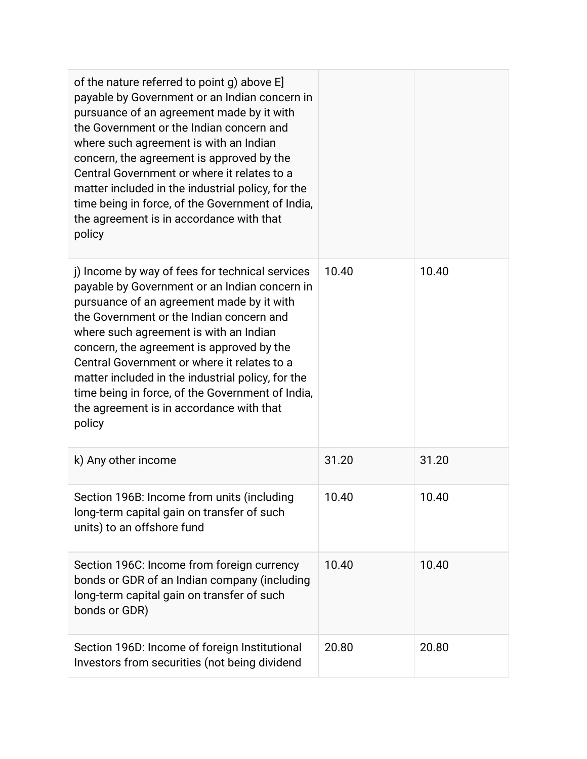| of the nature referred to point g) above E]<br>payable by Government or an Indian concern in<br>pursuance of an agreement made by it with<br>the Government or the Indian concern and<br>where such agreement is with an Indian<br>concern, the agreement is approved by the<br>Central Government or where it relates to a<br>matter included in the industrial policy, for the<br>time being in force, of the Government of India,<br>the agreement is in accordance with that<br>policy     |       |       |
|------------------------------------------------------------------------------------------------------------------------------------------------------------------------------------------------------------------------------------------------------------------------------------------------------------------------------------------------------------------------------------------------------------------------------------------------------------------------------------------------|-------|-------|
| j) Income by way of fees for technical services<br>payable by Government or an Indian concern in<br>pursuance of an agreement made by it with<br>the Government or the Indian concern and<br>where such agreement is with an Indian<br>concern, the agreement is approved by the<br>Central Government or where it relates to a<br>matter included in the industrial policy, for the<br>time being in force, of the Government of India,<br>the agreement is in accordance with that<br>policy | 10.40 | 10.40 |
| k) Any other income                                                                                                                                                                                                                                                                                                                                                                                                                                                                            | 31.20 | 31.20 |
| Section 196B: Income from units (including<br>long-term capital gain on transfer of such<br>units) to an offshore fund                                                                                                                                                                                                                                                                                                                                                                         | 10.40 | 10.40 |
| Section 196C: Income from foreign currency<br>bonds or GDR of an Indian company (including<br>long-term capital gain on transfer of such<br>bonds or GDR)                                                                                                                                                                                                                                                                                                                                      | 10.40 | 10.40 |
| Section 196D: Income of foreign Institutional<br>Investors from securities (not being dividend                                                                                                                                                                                                                                                                                                                                                                                                 | 20.80 | 20.80 |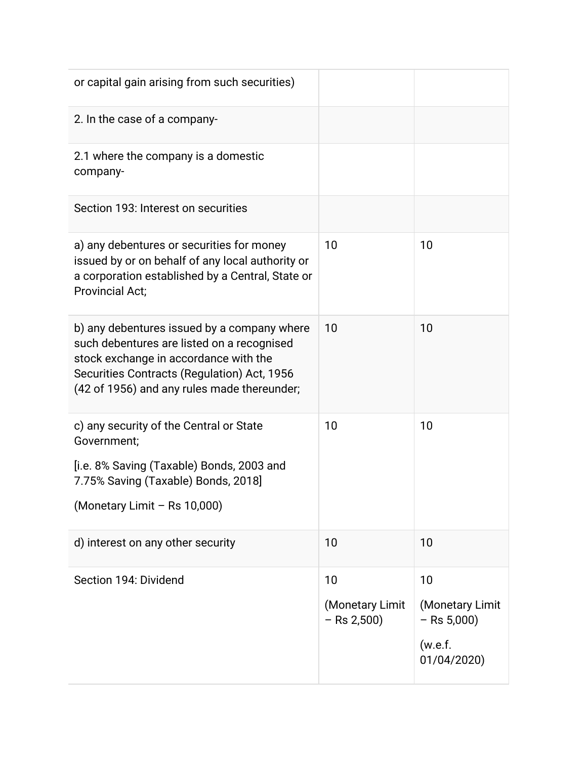| or capital gain arising from such securities)                                                                                                                                                                                    |                                        |                                                                  |
|----------------------------------------------------------------------------------------------------------------------------------------------------------------------------------------------------------------------------------|----------------------------------------|------------------------------------------------------------------|
| 2. In the case of a company-                                                                                                                                                                                                     |                                        |                                                                  |
| 2.1 where the company is a domestic<br>company-                                                                                                                                                                                  |                                        |                                                                  |
| Section 193: Interest on securities                                                                                                                                                                                              |                                        |                                                                  |
| a) any debentures or securities for money<br>issued by or on behalf of any local authority or<br>a corporation established by a Central, State or<br><b>Provincial Act;</b>                                                      | 10                                     | 10                                                               |
| b) any debentures issued by a company where<br>such debentures are listed on a recognised<br>stock exchange in accordance with the<br>Securities Contracts (Regulation) Act, 1956<br>(42 of 1956) and any rules made thereunder; | 10                                     | 10                                                               |
| c) any security of the Central or State<br>Government;<br>[i.e. 8% Saving (Taxable) Bonds, 2003 and<br>7.75% Saving (Taxable) Bonds, 2018]<br>(Monetary Limit - Rs 10,000)                                                       | 10                                     | 10                                                               |
| d) interest on any other security                                                                                                                                                                                                | 10                                     | 10                                                               |
| Section 194: Dividend                                                                                                                                                                                                            | 10<br>(Monetary Limit<br>$-$ Rs 2,500) | 10<br>(Monetary Limit<br>$-$ Rs 5,000)<br>(w.e.f.<br>01/04/2020) |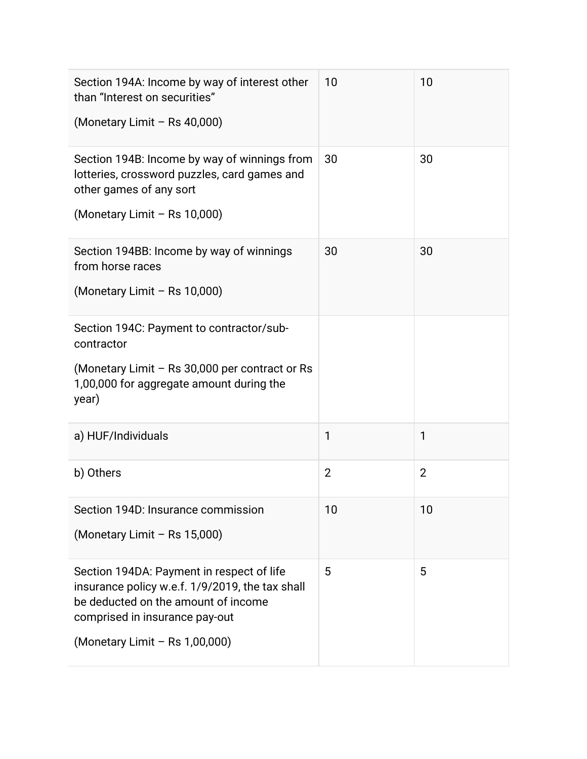| Section 194A: Income by way of interest other<br>than "Interest on securities"<br>(Monetary Limit - Rs 40,000)                                                                                          | 10             | 10             |
|---------------------------------------------------------------------------------------------------------------------------------------------------------------------------------------------------------|----------------|----------------|
| Section 194B: Income by way of winnings from<br>lotteries, crossword puzzles, card games and<br>other games of any sort<br>(Monetary Limit - Rs 10,000)                                                 | 30             | 30             |
| Section 194BB: Income by way of winnings<br>from horse races<br>(Monetary Limit - Rs 10,000)                                                                                                            | 30             | 30             |
| Section 194C: Payment to contractor/sub-<br>contractor<br>(Monetary Limit – Rs 30,000 per contract or Rs<br>1,00,000 for aggregate amount during the<br>year)                                           |                |                |
| a) HUF/Individuals                                                                                                                                                                                      | 1              | 1              |
| b) Others                                                                                                                                                                                               | $\overline{2}$ | $\overline{2}$ |
| Section 194D: Insurance commission<br>(Monetary Limit - Rs 15,000)                                                                                                                                      | 10             | 10             |
| Section 194DA: Payment in respect of life<br>insurance policy w.e.f. 1/9/2019, the tax shall<br>be deducted on the amount of income<br>comprised in insurance pay-out<br>(Monetary Limit - Rs 1,00,000) | 5              | 5              |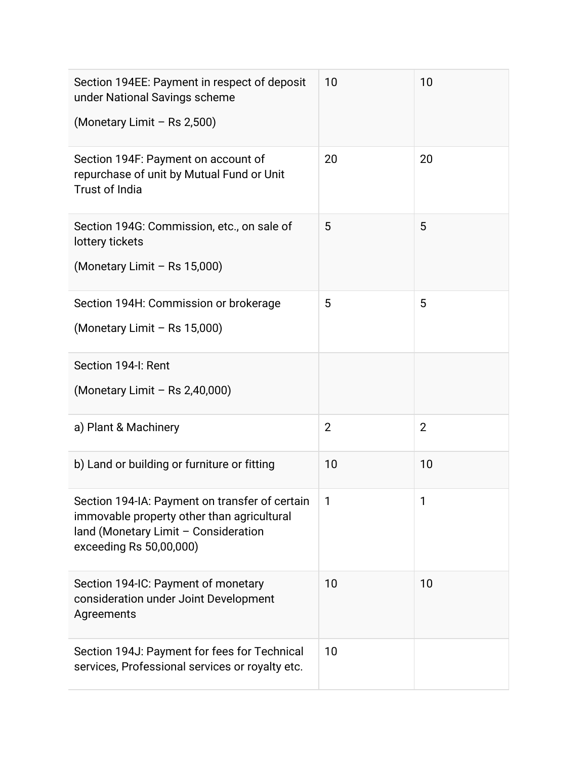| Section 194EE: Payment in respect of deposit<br>under National Savings scheme<br>(Monetary Limit - Rs 2,500)                                                    | 10             | 10             |
|-----------------------------------------------------------------------------------------------------------------------------------------------------------------|----------------|----------------|
| Section 194F: Payment on account of<br>repurchase of unit by Mutual Fund or Unit<br><b>Trust of India</b>                                                       | 20             | 20             |
| Section 194G: Commission, etc., on sale of<br>lottery tickets<br>(Monetary Limit - Rs 15,000)                                                                   | 5              | 5              |
| Section 194H: Commission or brokerage<br>(Monetary Limit - Rs 15,000)                                                                                           | 5              | 5              |
| Section 194-I: Rent<br>(Monetary Limit - Rs 2,40,000)                                                                                                           |                |                |
| a) Plant & Machinery                                                                                                                                            | $\overline{2}$ | $\overline{2}$ |
| b) Land or building or furniture or fitting                                                                                                                     | 10             | 10             |
| Section 194-IA: Payment on transfer of certain<br>immovable property other than agricultural<br>land (Monetary Limit - Consideration<br>exceeding Rs 50,00,000) | 1              | 1              |
| Section 194-IC: Payment of monetary<br>consideration under Joint Development<br>Agreements                                                                      | 10             | 10             |
| Section 194J: Payment for fees for Technical<br>services, Professional services or royalty etc.                                                                 | 10             |                |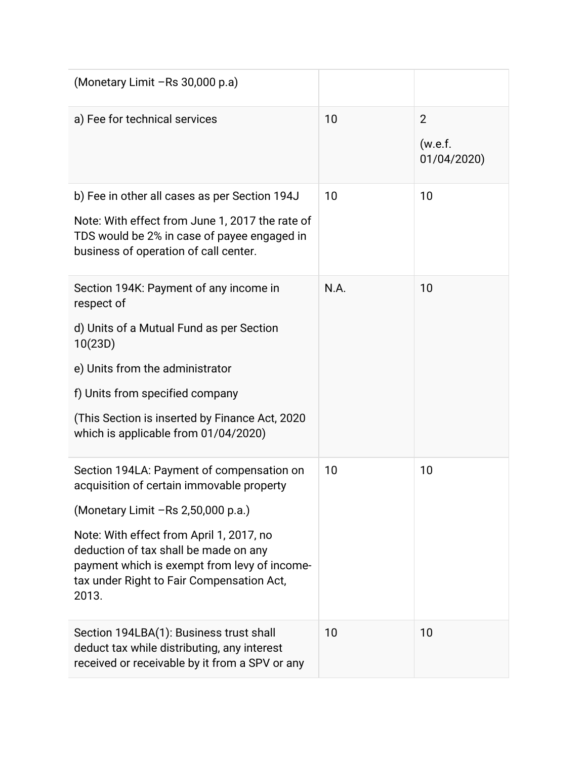| (Monetary Limit -Rs 30,000 p.a)                                                                                                                                                         |      |                             |
|-----------------------------------------------------------------------------------------------------------------------------------------------------------------------------------------|------|-----------------------------|
| a) Fee for technical services                                                                                                                                                           | 10   | 2<br>(w.e.f.<br>01/04/2020) |
| b) Fee in other all cases as per Section 194J                                                                                                                                           | 10   | 10                          |
| Note: With effect from June 1, 2017 the rate of<br>TDS would be 2% in case of payee engaged in<br>business of operation of call center.                                                 |      |                             |
| Section 194K: Payment of any income in<br>respect of                                                                                                                                    | N.A. | 10                          |
| d) Units of a Mutual Fund as per Section<br>10(23D)                                                                                                                                     |      |                             |
| e) Units from the administrator                                                                                                                                                         |      |                             |
| f) Units from specified company                                                                                                                                                         |      |                             |
| (This Section is inserted by Finance Act, 2020)<br>which is applicable from 01/04/2020)                                                                                                 |      |                             |
| Section 194LA: Payment of compensation on<br>acquisition of certain immovable property                                                                                                  | 10   | 10                          |
| (Monetary Limit - Rs 2,50,000 p.a.)                                                                                                                                                     |      |                             |
| Note: With effect from April 1, 2017, no<br>deduction of tax shall be made on any<br>payment which is exempt from levy of income-<br>tax under Right to Fair Compensation Act,<br>2013. |      |                             |
| Section 194LBA(1): Business trust shall<br>deduct tax while distributing, any interest<br>received or receivable by it from a SPV or any                                                | 10   | 10                          |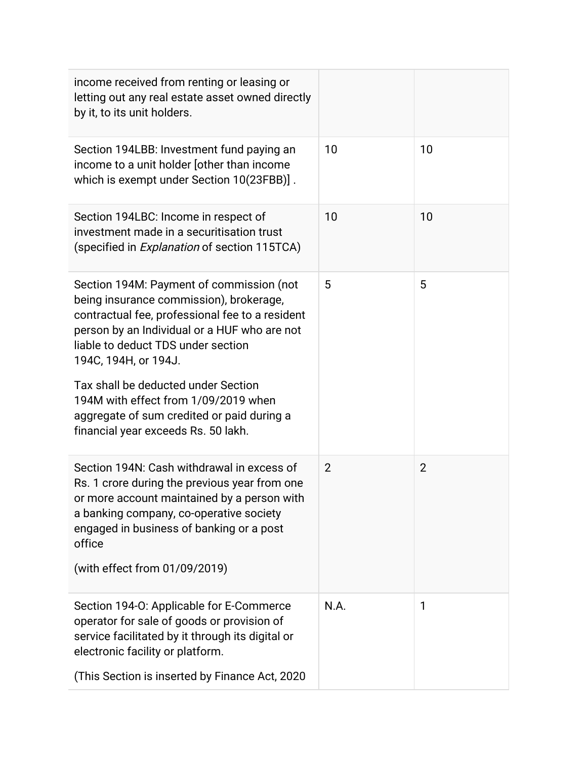| income received from renting or leasing or<br>letting out any real estate asset owned directly<br>by it, to its unit holders.                                                                                                                        |                |                |
|------------------------------------------------------------------------------------------------------------------------------------------------------------------------------------------------------------------------------------------------------|----------------|----------------|
| Section 194LBB: Investment fund paying an<br>income to a unit holder [other than income<br>which is exempt under Section 10(23FBB)].                                                                                                                 | 10             | 10             |
| Section 194LBC: Income in respect of<br>investment made in a securitisation trust<br>(specified in <i>Explanation</i> of section 115TCA)                                                                                                             | 10             | 10             |
| Section 194M: Payment of commission (not<br>being insurance commission), brokerage,<br>contractual fee, professional fee to a resident<br>person by an Individual or a HUF who are not<br>liable to deduct TDS under section<br>194C, 194H, or 194J. | 5              | 5              |
| Tax shall be deducted under Section<br>194M with effect from 1/09/2019 when<br>aggregate of sum credited or paid during a<br>financial year exceeds Rs. 50 lakh.                                                                                     |                |                |
| Section 194N: Cash withdrawal in excess of<br>Rs. 1 crore during the previous year from one<br>or more account maintained by a person with<br>a banking company, co-operative society<br>engaged in business of banking or a post<br>office          | $\overline{2}$ | $\overline{2}$ |
| (with effect from 01/09/2019)                                                                                                                                                                                                                        |                |                |
| Section 194-O: Applicable for E-Commerce<br>operator for sale of goods or provision of<br>service facilitated by it through its digital or<br>electronic facility or platform.                                                                       | N.A.           | 1              |
| (This Section is inserted by Finance Act, 2020                                                                                                                                                                                                       |                |                |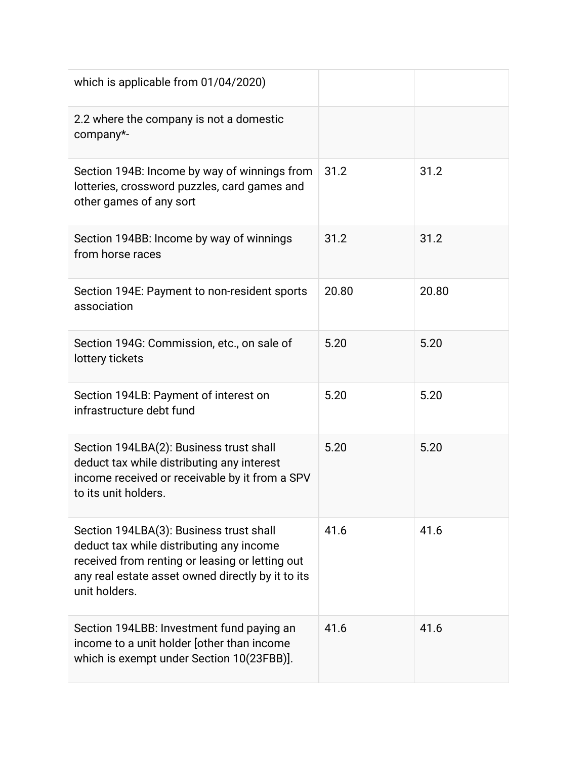| which is applicable from 01/04/2020)                                                                                                                                                                         |       |       |
|--------------------------------------------------------------------------------------------------------------------------------------------------------------------------------------------------------------|-------|-------|
| 2.2 where the company is not a domestic<br>company*-                                                                                                                                                         |       |       |
| Section 194B: Income by way of winnings from<br>lotteries, crossword puzzles, card games and<br>other games of any sort                                                                                      | 31.2  | 31.2  |
| Section 194BB: Income by way of winnings<br>from horse races                                                                                                                                                 | 31.2  | 31.2  |
| Section 194E: Payment to non-resident sports<br>association                                                                                                                                                  | 20.80 | 20.80 |
| Section 194G: Commission, etc., on sale of<br>lottery tickets                                                                                                                                                | 5.20  | 5.20  |
| Section 194LB: Payment of interest on<br>infrastructure debt fund                                                                                                                                            | 5.20  | 5.20  |
| Section 194LBA(2): Business trust shall<br>deduct tax while distributing any interest<br>income received or receivable by it from a SPV<br>to its unit holders.                                              | 5.20  | 5.20  |
| Section 194LBA(3): Business trust shall<br>deduct tax while distributing any income<br>received from renting or leasing or letting out<br>any real estate asset owned directly by it to its<br>unit holders. | 41.6  | 41.6  |
| Section 194LBB: Investment fund paying an<br>income to a unit holder [other than income<br>which is exempt under Section 10(23FBB)].                                                                         | 41.6  | 41.6  |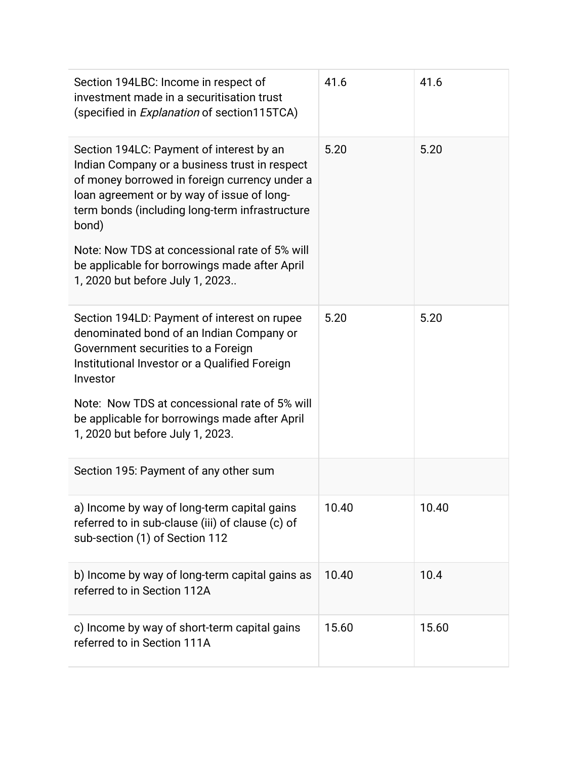| Section 194LBC: Income in respect of<br>investment made in a securitisation trust<br>(specified in <i>Explanation</i> of section115TCA)                                                                                                                                                              | 41.6  | 41.6  |
|------------------------------------------------------------------------------------------------------------------------------------------------------------------------------------------------------------------------------------------------------------------------------------------------------|-------|-------|
| Section 194LC: Payment of interest by an<br>Indian Company or a business trust in respect<br>of money borrowed in foreign currency under a<br>loan agreement or by way of issue of long-<br>term bonds (including long-term infrastructure<br>bond)<br>Note: Now TDS at concessional rate of 5% will | 5.20  | 5.20  |
| be applicable for borrowings made after April<br>1, 2020 but before July 1, 2023                                                                                                                                                                                                                     |       |       |
| Section 194LD: Payment of interest on rupee<br>denominated bond of an Indian Company or<br>Government securities to a Foreign<br>Institutional Investor or a Qualified Foreign<br>Investor                                                                                                           | 5.20  | 5.20  |
| Note: Now TDS at concessional rate of 5% will<br>be applicable for borrowings made after April<br>1, 2020 but before July 1, 2023.                                                                                                                                                                   |       |       |
| Section 195: Payment of any other sum                                                                                                                                                                                                                                                                |       |       |
| a) Income by way of long-term capital gains<br>referred to in sub-clause (iii) of clause (c) of<br>sub-section (1) of Section 112                                                                                                                                                                    | 10.40 | 10.40 |
| b) Income by way of long-term capital gains as<br>referred to in Section 112A                                                                                                                                                                                                                        | 10.40 | 10.4  |
| c) Income by way of short-term capital gains<br>referred to in Section 111A                                                                                                                                                                                                                          | 15.60 | 15.60 |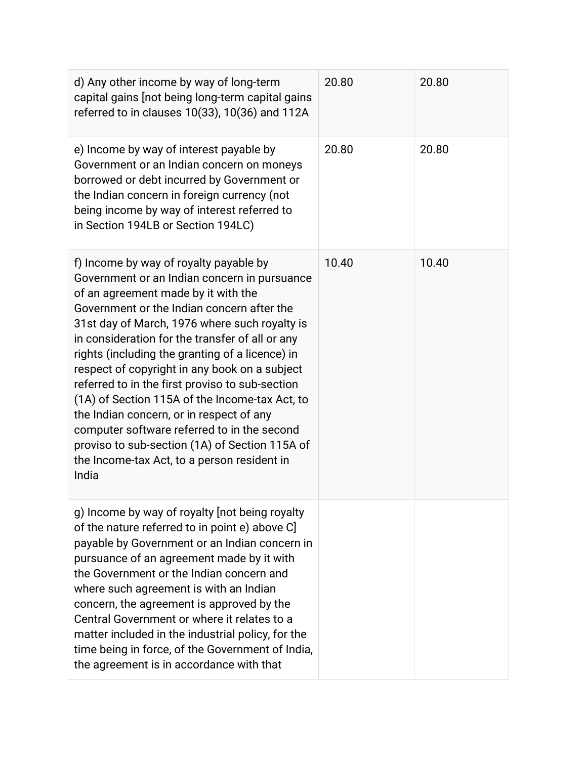| d) Any other income by way of long-term<br>capital gains [not being long-term capital gains<br>referred to in clauses 10(33), 10(36) and 112A                                                                                                                                                                                                                                                                                                                                                                                                                                                                                                                                                 | 20.80 | 20.80 |
|-----------------------------------------------------------------------------------------------------------------------------------------------------------------------------------------------------------------------------------------------------------------------------------------------------------------------------------------------------------------------------------------------------------------------------------------------------------------------------------------------------------------------------------------------------------------------------------------------------------------------------------------------------------------------------------------------|-------|-------|
| e) Income by way of interest payable by<br>Government or an Indian concern on moneys<br>borrowed or debt incurred by Government or<br>the Indian concern in foreign currency (not<br>being income by way of interest referred to<br>in Section 194LB or Section 194LC)                                                                                                                                                                                                                                                                                                                                                                                                                        | 20.80 | 20.80 |
| f) Income by way of royalty payable by<br>Government or an Indian concern in pursuance<br>of an agreement made by it with the<br>Government or the Indian concern after the<br>31st day of March, 1976 where such royalty is<br>in consideration for the transfer of all or any<br>rights (including the granting of a licence) in<br>respect of copyright in any book on a subject<br>referred to in the first proviso to sub-section<br>(1A) of Section 115A of the Income-tax Act, to<br>the Indian concern, or in respect of any<br>computer software referred to in the second<br>proviso to sub-section (1A) of Section 115A of<br>the Income-tax Act, to a person resident in<br>India | 10.40 | 10.40 |
| g) Income by way of royalty [not being royalty<br>of the nature referred to in point e) above C<br>payable by Government or an Indian concern in<br>pursuance of an agreement made by it with<br>the Government or the Indian concern and<br>where such agreement is with an Indian<br>concern, the agreement is approved by the<br>Central Government or where it relates to a<br>matter included in the industrial policy, for the<br>time being in force, of the Government of India,<br>the agreement is in accordance with that                                                                                                                                                          |       |       |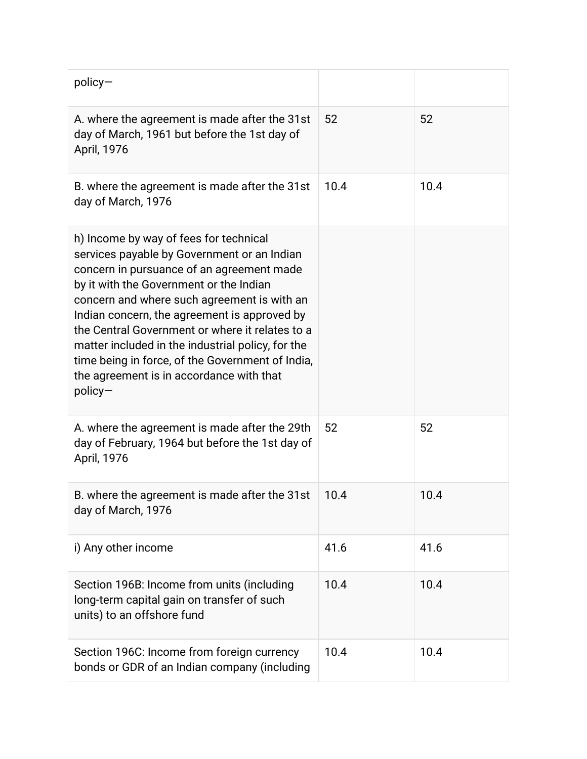| $policy-$                                                                                                                                                                                                                                                                                                                                                                                                                                                                                         |      |      |
|---------------------------------------------------------------------------------------------------------------------------------------------------------------------------------------------------------------------------------------------------------------------------------------------------------------------------------------------------------------------------------------------------------------------------------------------------------------------------------------------------|------|------|
| A. where the agreement is made after the 31st<br>day of March, 1961 but before the 1st day of<br>April, 1976                                                                                                                                                                                                                                                                                                                                                                                      | 52   | 52   |
| B. where the agreement is made after the 31st<br>day of March, 1976                                                                                                                                                                                                                                                                                                                                                                                                                               | 10.4 | 10.4 |
| h) Income by way of fees for technical<br>services payable by Government or an Indian<br>concern in pursuance of an agreement made<br>by it with the Government or the Indian<br>concern and where such agreement is with an<br>Indian concern, the agreement is approved by<br>the Central Government or where it relates to a<br>matter included in the industrial policy, for the<br>time being in force, of the Government of India,<br>the agreement is in accordance with that<br>$policy-$ |      |      |
| A. where the agreement is made after the 29th<br>day of February, 1964 but before the 1st day of<br>April, 1976                                                                                                                                                                                                                                                                                                                                                                                   | 52   | 52   |
| B. where the agreement is made after the 31st<br>day of March, 1976                                                                                                                                                                                                                                                                                                                                                                                                                               | 10.4 | 10.4 |
| i) Any other income                                                                                                                                                                                                                                                                                                                                                                                                                                                                               | 41.6 | 41.6 |
| Section 196B: Income from units (including<br>long-term capital gain on transfer of such<br>units) to an offshore fund                                                                                                                                                                                                                                                                                                                                                                            | 10.4 | 10.4 |
| Section 196C: Income from foreign currency<br>bonds or GDR of an Indian company (including                                                                                                                                                                                                                                                                                                                                                                                                        | 10.4 | 10.4 |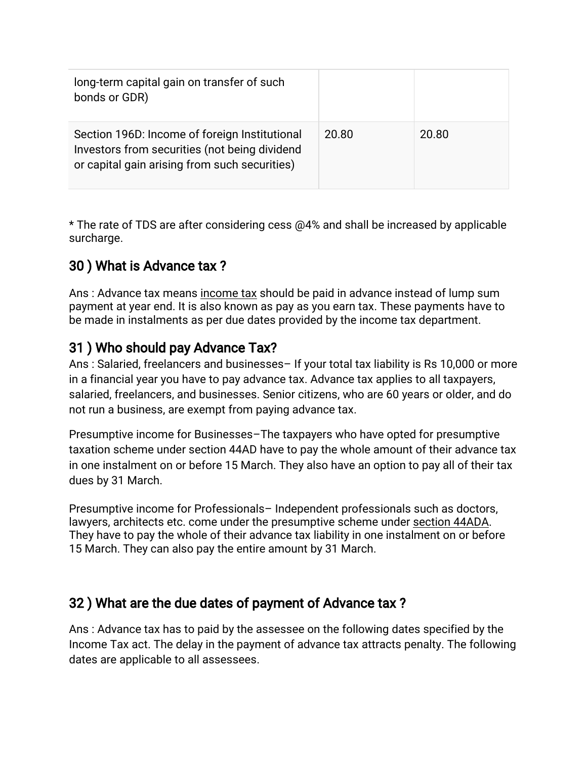| long-term capital gain on transfer of such<br>bonds or GDR)                                                                                     |       |       |
|-------------------------------------------------------------------------------------------------------------------------------------------------|-------|-------|
| Section 196D: Income of foreign Institutional<br>Investors from securities (not being dividend<br>or capital gain arising from such securities) | 20.80 | 20.80 |

\* The rate of TDS are after considering cess @4% and shall be increased by applicable surcharge.

## 30) What is Advance tax?

Ans: Advance tax means income tax should be paid in advance instead of lump sum payment at year end. It is also known as pay as you earn tax. These payments have to be made in instalments as per due dates provided by the income tax department.

## 31) Who should pay Advance Tax?

Ans: Salaried, freelancers and businesses-If your total tax liability is Rs 10,000 or more in a financial year you have to pay advance tax. Advance tax applies to all taxpayers, salaried, freelancers, and businesses. Senior citizens, who are 60 years or older, and do not run a business, are exempt from paying advance tax.

Presumptive income for Businesses–The taxpayers who have opted for presumptive taxation scheme under section 44AD have to pay the whole amount of their advance tax in one instalment on or before 15 March. They also have an option to pay all of their tax dues by 31 March.

Presumptive income for Professionals–Independent professionals such as doctors, lawyers, architects etc. come under the presumptive scheme under section 44ADA. They have to pay the whole of their advance tax liability in one instalment on or before 15 March. They can also pay the entire amount by 31 March.

#### 32) What are the due dates of payment of Advance tax?

Ans: Advance tax has to paid by the assessee on the following dates specified by the Income Tax act. The delay in the payment of advance tax attracts penalty. The following dates are applicable to all assessees.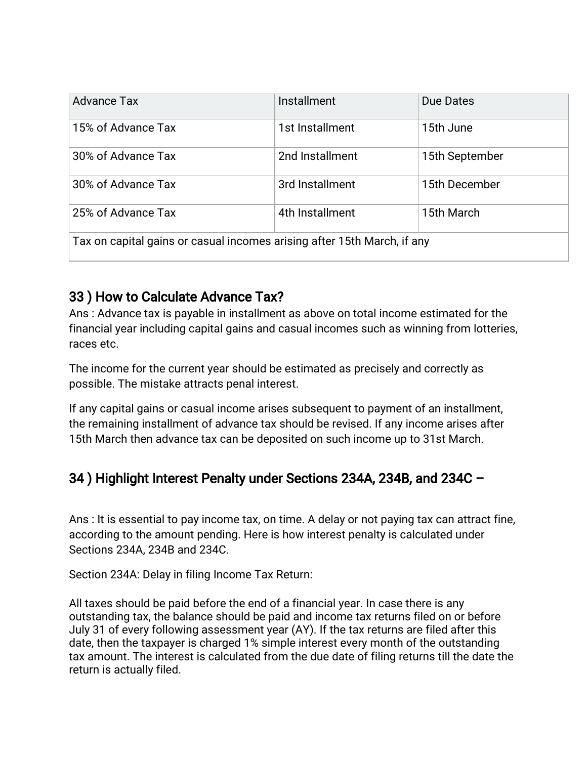| <b>Advance Tax</b>                                                      | Installment     | Due Dates      |  |
|-------------------------------------------------------------------------|-----------------|----------------|--|
| 15% of Advance Tax                                                      | 1st Installment | 15th June      |  |
| 30% of Advance Tax                                                      | 2nd Installment | 15th September |  |
| 30% of Advance Tax                                                      | 3rd Installment | 15th December  |  |
| 25% of Advance Tax                                                      | 4th Installment | 15th March     |  |
| Tax on capital gains or casual incomes arising after 15th March, if any |                 |                |  |

## 33) How to Calculate Advance Tax?

Ans: Advance tax is payable in installment as above on total income estimated for the financial year including capital gains and casual incomes such as winning from lotteries, races etc.

The income for the current year should be estimated as precisely and correctly as possible. The mistake attracts penal interest.

If any capital gains or casual income arises subsequent to payment of an installment, the remaining installment of advance tax should be revised. If any income arises after 15th March then advance tax can be deposited on such income up to 31st March.

#### 34) Highlight Interest Penalty under Sections 234A, 234B, and 234C -

Ans: It is essential to pay income tax, on time. A delay or not paying tax can attract fine, according to the amount pending. Here is how interest penalty is calculated under Sections 234A, 234B and 234C.

Section 234A: Delay in filing Income Tax Return:

All taxes should be paid before the end of a financial year. In case there is any outstanding tax, the balance should be paid and income tax returns filed on or before July 31 of every following assessment year (AY). If the tax returns are filed after this date, then the taxpayer is charged 1% simple interest every month of the outstanding tax amount. The interest is calculated from the due date of filing returns till the date the return is actually filed.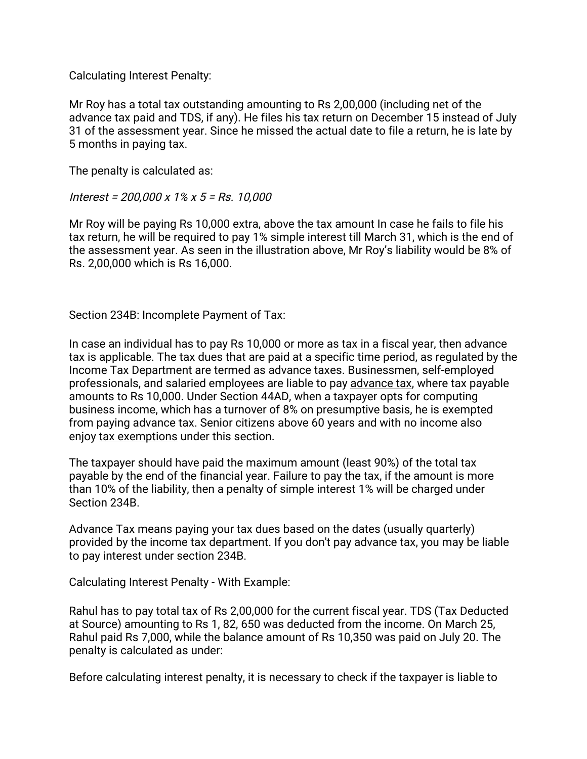Calculating Interest Penalty:

Mr Roy has a total tax outstanding amounting to Rs 2,00,000 (including net of the advance tax paid and TDS, if any). He files his tax return on December 15 instead of July 31 of the assessment year. Since he missed the actual date to file a return, he is late by 5 months in paying tax.

The penalty is calculated as:

Interest=200,000x1%x5=Rs.10,000

Mr Roy will be paying Rs 10,000 extra, above the tax amount In case he fails to file his tax return, he will be required to pay 1% simple interest till March 31, which is the end of the assessment year. As seen in the illustration above, Mr Roy's liability would be 8% of Rs. 2,00,000 which is Rs 16,000.

Section 234B: Incomplete Payment of Tax:

In case an individual has to pay Rs 10,000 or more as tax in a fiscal year, then advance tax is applicable. The tax dues that are paid at a specific time period, as regulated by the Income Tax Department are termed as advance taxes. Businessmen, self-employed professionals, and salaried employees are liable to pay advance tax, where tax payable amounts to Rs 10,000. Under Section 44AD, when a taxpayer opts for computing business income, which has a turnover of 8% on presumptive basis, he is exempted from paying advance tax. Senior citizens above 60 years and with no income also enjoy tax exemptions under this section.

The taxpayer should have paid the maximum amount (least 90%) of the total tax payable by the end of the financial year. Failure to pay the tax, if the amount is more than 10% of the liability, then a penalty of simple interest 1% will be charged under Section 234B.

Advance Tax means paying your tax dues based on the dates (usually quarterly) provided by the income tax department. If you don't pay advance tax, you may be liable to pay interest under section 234B.

Calculating Interest Penalty - With Example:

Rahul has to pay total tax of Rs 2,00,000 for the current fiscal year. TDS (Tax Deducted at Source) amounting to Rs 1, 82, 650 was deducted from the income. On March 25, Rahul paid Rs 7,000, while the balance amount of Rs 10,350 was paid on July 20. The penalty is calculated as under:

Before calculating interest penalty, it is necessary to check if the taxpayer is liable to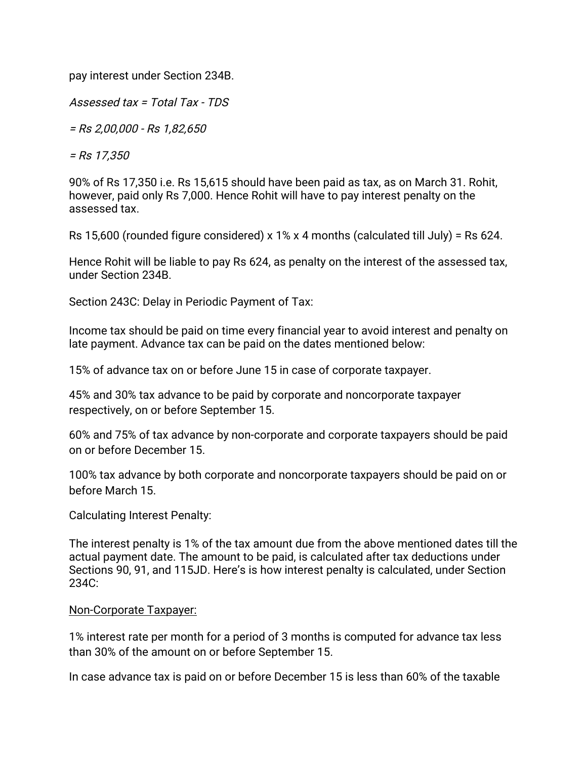pay interest under Section 234B.

Assessed tax = Total Tax -  $TDS$ 

=Rs2,00,000-Rs1,82,650

=Rs17,350

90% of Rs 17,350 i.e. Rs 15,615 should have been paid as tax, as on March 31. Rohit, however, paid only Rs 7,000. Hence Rohit will have to pay interest penalty on the assessed tax.

Rs 15,600 (rounded figure considered) x 1% x 4 months (calculated till July) = Rs 624.

Hence Rohit will be liable to pay Rs 624, as penalty on the interest of the assessed tax, under Section 234B.

Section 243C: Delay in Periodic Payment of Tax:

Income tax should be paid on time every financial year to avoid interest and penalty on late payment. Advance tax can be paid on the dates mentioned below:

15% of advance tax on or before June 15 in case of corporate taxpayer.

45% and 30% tax advance to be paid by corporate and noncorporate taxpayer respectively, on or before September 15.

60% and 75% of tax advance by non-corporate and corporate taxpayers should be paid on or before December 15.

100% tax advance by both corporate and noncorporate taxpayers should be paid on or before March 15.

Calculating Interest Penalty:

The interest penalty is 1% of the tax amount due from the above mentioned dates till the actual payment date. The amount to be paid, is calculated after tax deductions under Sections 90, 91, and 115JD. Here's is how interest penalty is calculated, under Section 234C:

#### Non-Corporate Taxpayer:

1% interest rate per month for a period of 3 months is computed for advance tax less than 30% of the amount on or before September 15.

In case advance tax is paid on or before December 15 is less than 60% of the taxable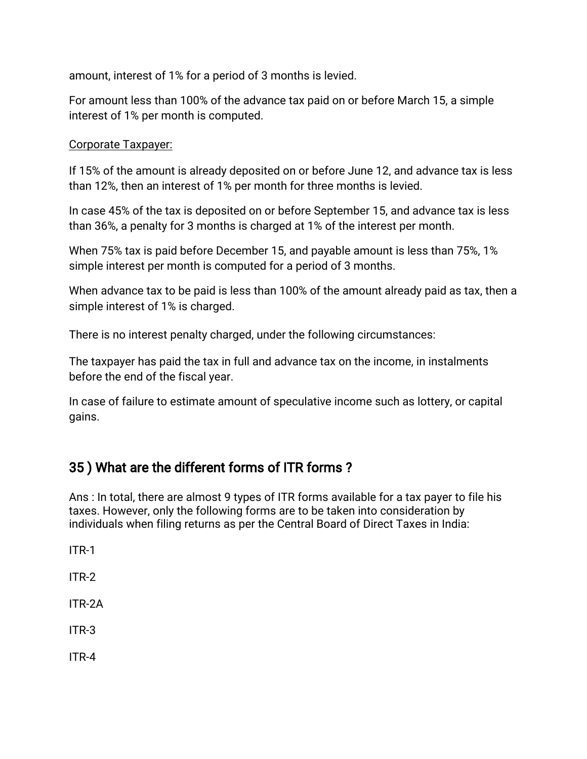amount, interest of 1% for a period of 3 months is levied.

For amount less than 100% of the advance tax paid on or before March 15, a simple interest of 1% per month is computed.

#### Corporate Taxpayer:

If 15% of the amount is already deposited on or before June 12, and advance tax is less than 12%, then an interest of 1% per month for three months is levied.

In case 45% of the tax is deposited on or before September 15, and advance tax is less than 36%, a penalty for 3 months is charged at 1% of the interest per month.

When 75% tax is paid before December 15, and payable amount is less than 75%, 1% simple interest per month is computed for a period of 3 months.

When advance tax to be paid is less than 100% of the amount already paid as tax, then a simple interest of 1% is charged.

There is no interest penalty charged, under the following circumstances:

The taxpayer has paid the tax in full and advance tax on the income, in instalments before the end of the fiscal year.

In case of failure to estimate amount of speculative income such as lottery, or capital gains.

#### 35) What are the different forms of ITR forms?

Ans: In total, there are almost 9 types of ITR forms available for a tax payer to file his taxes. However, only the following forms are to be taken into consideration by individuals when filing returns as per the Central Board of Direct Taxes in India:

ITR-1

ITR-2

ITR-2A

ITR-3

ITR-4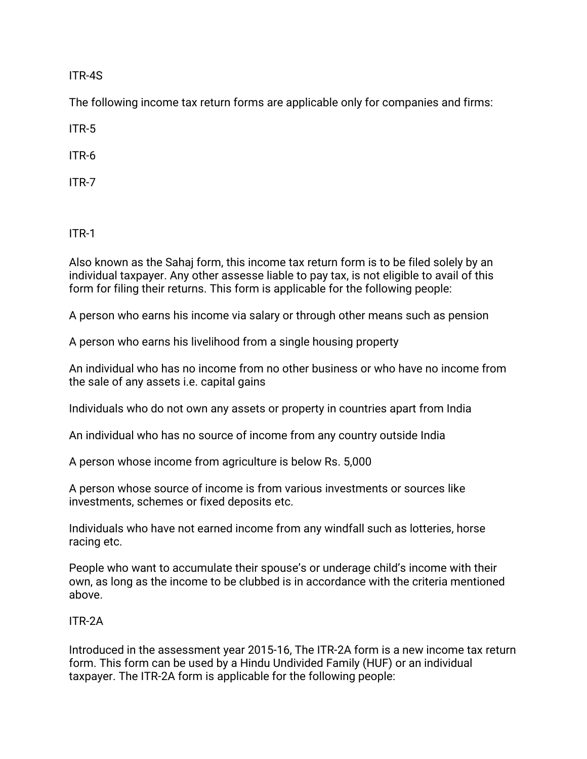ITR-4S

The following income tax return forms are applicable only for companies and firms:

ITR-5

ITR-6

ITR-7

ITR-1

Also known as the Sahaj form, this income tax return form is to be filed solely by an individual taxpayer. Any other assesse liable to pay tax, is not eligible to avail of this form for filing their returns. This form is applicable for the following people:

A person who earns his income via salary or through other means such as pension

A person who earns his livelihood from a single housing property

An individual who has no income from no other business or who have no income from the sale of any assets i.e. capital gains

Individuals who do not own any assets or property in countries apart from India

An individual who has no source of income from any country outside India

A person whose income from agriculture is below Rs. 5,000

A person whose source of income is from various investments or sources like investments, schemes or fixed deposits etc.

Individuals who have not earned income from any windfall such as lotteries, horse racing etc.

People who want to accumulate their spouse's or underage child's income with their own, as long as the income to be clubbed is in accordance with the criteria mentioned above.

#### ITR-2A

Introduced in the assessment year 2015-16, The ITR-2A form is a new income tax return form. This form can be used by a Hindu Undivided Family (HUF) or an individual taxpayer. The ITR-2A form is applicable for the following people: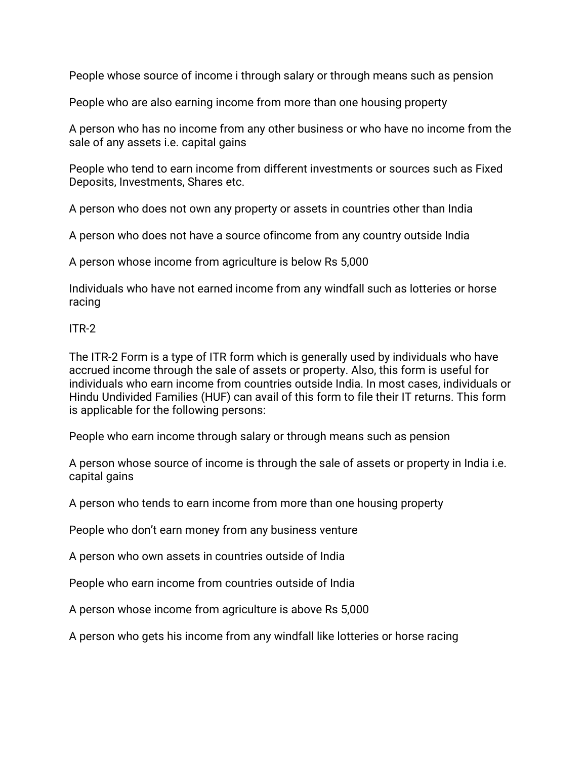People whose source of income i through salary or through means such as pension

People who are also earning income from more than one housing property

A person who has no income from any other business or who have no income from the sale of any assets i.e. capital gains

People who tend to earn income from different investments or sources such as Fixed Deposits, Investments, Shares etc.

A person who does not own any property or assets in countries other than India

A person who does not have a source of income from any country outside India

A person whose income from agriculture is below Rs 5,000

Individuals who have not earned income from any windfall such as lotteries or horse racing

ITR-2

The ITR-2 Form is a type of ITR form which is generally used by individuals who have accrued income through the sale of assets or property. Also, this form is useful for individuals who earn income from countries outside India. In most cases, individuals or Hindu Undivided Families (HUF) can avail of this form to file their IT returns. This form is applicable for the following persons:

People who earn income through salary or through means such as pension

A person whose source of income is through the sale of assets or property in India i.e. capital gains

A person who tends to earn income from more than one housing property

People who don't earn money from any business venture

A person who own assets in countries outside of India

People who earn income from countries outside of India

A person whose income from agriculture is above Rs 5,000

A person who gets his income from any windfall like lotteries or horse racing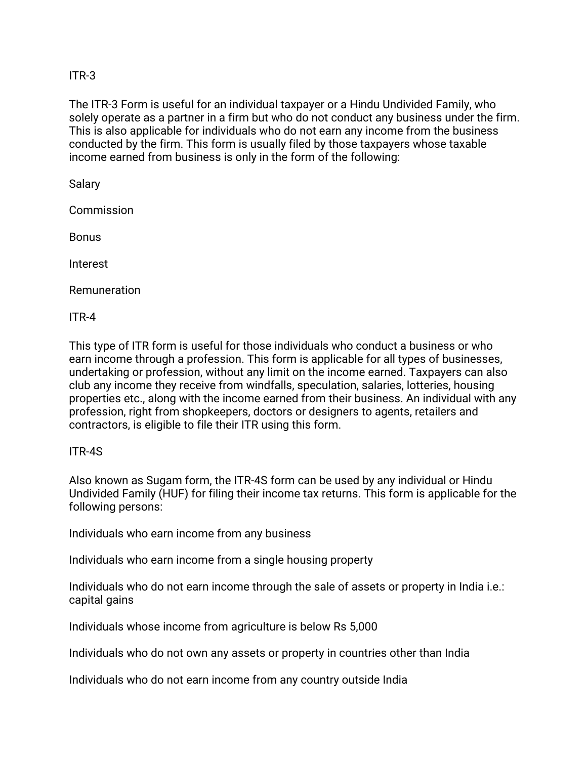#### ITR-3

The ITR-3 Form is useful for an individual taxpayer or a Hindu Undivided Family, who solely operate as a partner in a firm but who do not conduct any business under the firm. This is also applicable for individuals who do not earn any income from the business conducted by the firm. This form is usually filed by those taxpayers whose taxable income earned from business is only in the form of the following:

Salary

**Commission** 

Bonus

Interest

Remuneration

ITR-4

This type of ITR form is useful for those individuals who conduct a business or who earn income through a profession. This form is applicable for all types of businesses, undertaking or profession, without any limit on the income earned. Taxpayers can also club any income they receive from windfalls, speculation, salaries, lotteries, housing properties etc., along with the income earned from their business. An individual with any profession, right from shopkeepers, doctors or designers to agents, retailers and contractors, is eligible to file their ITR using this form.

#### ITR-4S

Also known as Sugam form, the ITR-4S form can be used by any individual or Hindu Undivided Family (HUF) for filing their income tax returns. This form is applicable for the following persons:

Individuals who earn income from any business

Individuals who earn income from a single housing property

Individuals who do not earn income through the sale of assets or property in India i.e.: capital gains

Individuals whose income from agriculture is below Rs 5,000

Individuals who do not own any assets or property in countries other than India

Individuals who do not earn income from any country outside India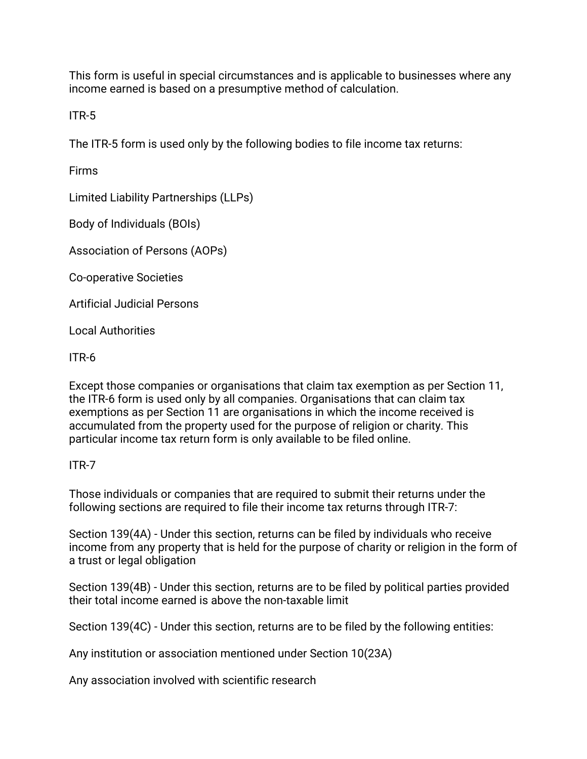This form is useful in special circumstances and is applicable to businesses where any income earned is based on a presumptive method of calculation.

ITR-5

The ITR-5 form is used only by the following bodies to file income tax returns:

Firms

Limited Liability Partnerships (LLPs)

Body of Individuals (BOIs)

Association of Persons (AOPs)

Co-operative Societies

Artificial Judicial Persons

**Local Authorities** 

ITR-6

Except those companies or organisations that claim tax exemption as per Section 11, the ITR-6 form is used only by all companies. Organisations that can claim tax exemptions as per Section 11 are organisations in which the income received is accumulated from the property used for the purpose of religion or charity. This particular income tax return form is only available to be filed online.

#### ITR-7

Those individuals or companies that are required to submit their returns under the following sections are required to file their income tax returns through ITR-7:

Section 139(4A) - Under this section, returns can be filed by individuals who receive income from any property that is held for the purpose of charity or religion in the form of a trust or legal obligation

Section 139(4B) - Under this section, returns are to be filed by political parties provided their total income earned is above the non-taxable limit

Section 139(4C) - Under this section, returns are to be filed by the following entities:

Any institution or association mentioned under Section 10(23A)

Any association involved with scientific research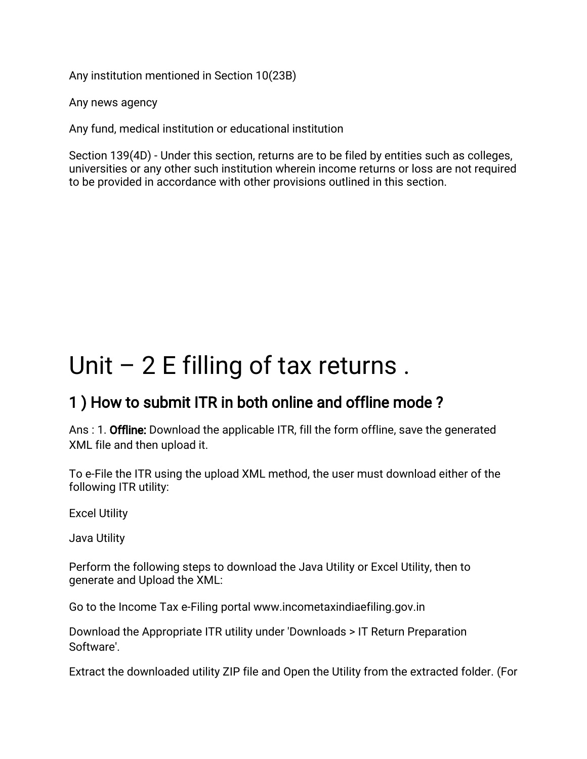Any institution mentioned in Section 10(23B)

Any news agency

Any fund, medical institution or educational institution

Section 139(4D) - Under this section, returns are to be filed by entities such as colleges, universities or any other such institution wherein income returns or loss are not required to be provided in accordance with other provisions outlined in this section.

# Unit  $-2E$  filling of tax returns.

# 1) How to submit ITR in both online and offline mode?

Ans: 1. Offline: Download the applicable ITR, fill the form offline, save the generated XML file and then upload it.

To e-File the ITR using the upload XML method, the user must download either of the following ITR utility:

**Excel Utility** 

Java Utility

Perform the following steps to download the Java Utility or Excel Utility, then to generate and Upload the XML:

Go to the Income Tax e-Filing portal www.incometaxindiaefiling.gov.in

Download the Appropriate ITR utility under 'Downloads > IT Return Preparation Software'.

Extract the downloaded utility ZIP file and Open the Utility from the extracted folder. (For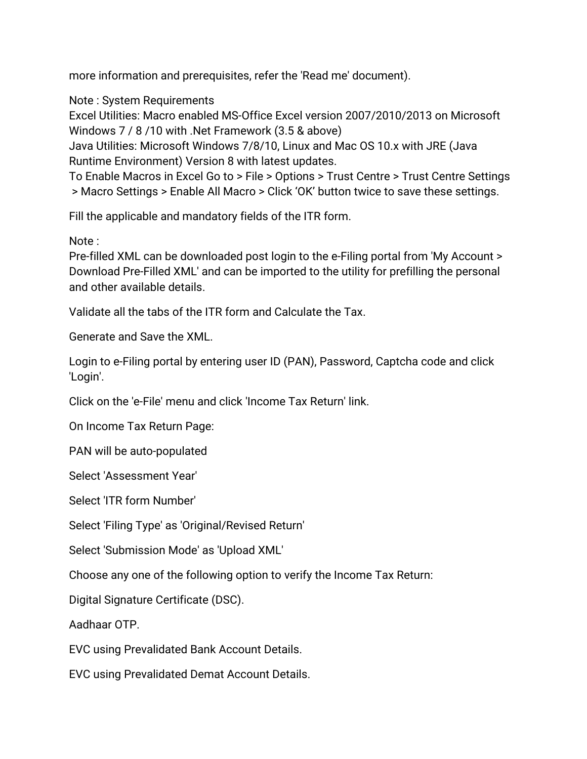more information and prerequisites, refer the 'Read me' document).

Note: System Requirements

Excel Utilities: Macro enabled MS-Office Excel version 2007/2010/2013 on Microsoft Windows 7 / 8 / 10 with .Net Framework (3.5 & above)

Java Utilities: Microsoft Windows 7/8/10, Linux and Mac OS 10.x with JRE (Java Runtime Environment) Version 8 with latest updates.

To Enable Macros in Excel Go to > File > Options > Trust Centre > Trust Centre Settings > Macro Settings > Enable All Macro > Click 'OK' button twice to save these settings.

Fill the applicable and mandatory fields of the ITR form.

Note:

Pre-filled XML can be downloaded post login to the e-Filing portal from 'My Account > Download Pre-Filled XML' and can be imported to the utility for prefilling the personal and other available details.

Validate all the tabs of the ITR form and Calculate the Tax.

Generate and Save the XML.

Login to e-Filing portal by entering user ID (PAN), Password, Captcha code and click 'Login'.

Click on the 'e-File' menu and click 'Income Tax Return' link.

On Income Tax Return Page:

PAN will be auto-populated

Select 'Assessment Year'

Select 'ITR form Number'

Select 'Filing Type' as 'Original/Revised Return'

Select 'Submission Mode' as 'Upload XML'

Choose any one of the following option to verify the Income Tax Return:

Digital Signature Certificate (DSC).

Aadhaar OTP

EVC using Prevalidated Bank Account Details.

EVC using Prevalidated Demat Account Details.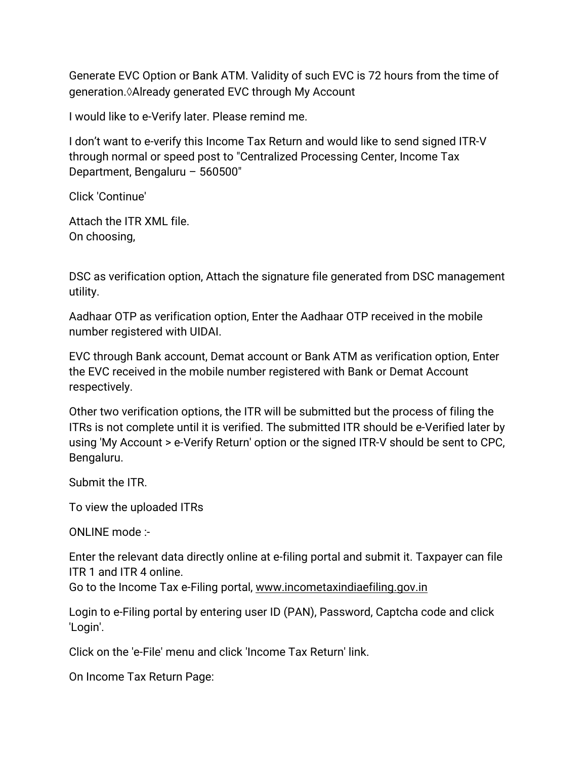Generate EVC Option or Bank ATM. Validity of such EVC is 72 hours from the time of generation. Already generated EVC through My Account

I would like to e-Verify later. Please remind me.

I don't want to e-verify this Income Tax Return and would like to send signed ITR-V through normal or speed post to "Centralized Processing Center, Income Tax Department, Bengaluru - 560500"

Click'Continue'

Attach the ITR XML file. On choosing,

DSC as verification option, Attach the signature file generated from DSC management utility.

Aadhaar OTP as verification option, Enter the Aadhaar OTP received in the mobile number registered with UIDAI.

EVC through Bank account, Demat account or Bank ATM as verification option, Enter the EVC received in the mobile number registered with Bank or Demat Account respectively.

Other two verification options, the ITR will be submitted but the process of filing the ITRs is not complete until it is verified. The submitted ITR should be e-Verified later by using 'My Account > e-Verify Return' option or the signed ITR-V should be sent to CPC, Bengaluru.

Submit the ITR.

To view the uploaded ITRs

ONLINEmode:-

Enter the relevant data directly online at e-filing portal and submit it. Taxpayer can file ITR1andITR4online.

Go to the Income Tax e-Filing portal, www.incometaxindiaefiling.gov.in

Login to e-Filing portal by entering user ID (PAN), Password, Captcha code and click 'Login'.

Click on the 'e-File' menu and click 'Income Tax Return' link.

On Income Tax Return Page: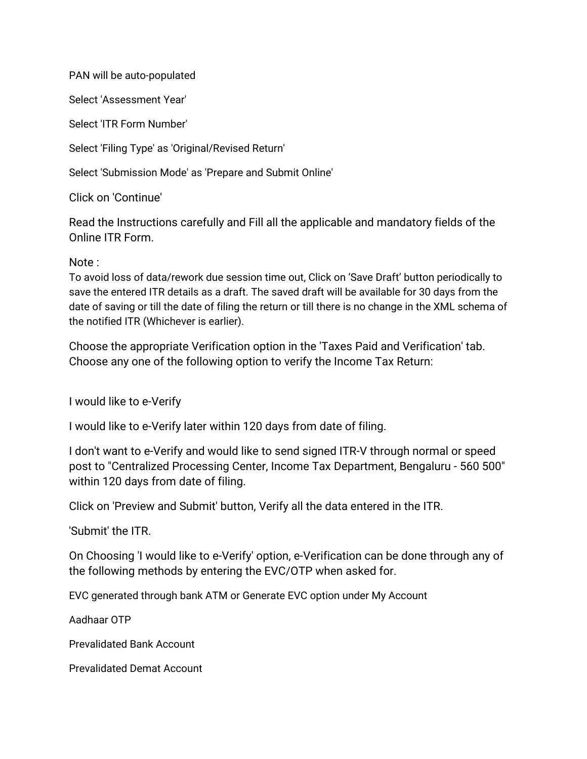PAN will be auto-populated

Select 'Assessment Year'

Select 'ITR Form Number'

Select 'Filing Type' as 'Original/Revised Return'

Select 'Submission Mode' as 'Prepare and Submit Online'

Click on 'Continue'

Read the Instructions carefully and Fill all the applicable and mandatory fields of the Online ITR Form.

#### Note:

To avoid loss of data/rework due session time out, Click on 'Save Draft' button periodically to save the entered ITR details as a draft. The saved draft will be available for 30 days from the date of saving or till the date of filing the return or till there is no change in the XML schema of the notified ITR (Whichever is earlier).

Choose the appropriate Verification option in the 'Taxes Paid and Verification' tab. Choose any one of the following option to verify the Income Tax Return:

I would like to e-Verify

I would like to e-Verify later within 120 days from date of filing.

I don't want to e-Verify and would like to send signed ITR-V through normal or speed post to "Centralized Processing Center, Income Tax Department, Bengaluru - 560 500" within 120 days from date of filing.

Click on 'Preview and Submit' button, Verify all the data entered in the ITR.

'Submit' the ITR.

On Choosing 'I would like to e-Verify' option, e-Verification can be done through any of the following methods by entering the EVC/OTP when asked for.

EVC generated through bank ATM or Generate EVC option under My Account

Aadhaar OTP

Prevalidated Bank Account

Prevalidated Demat Account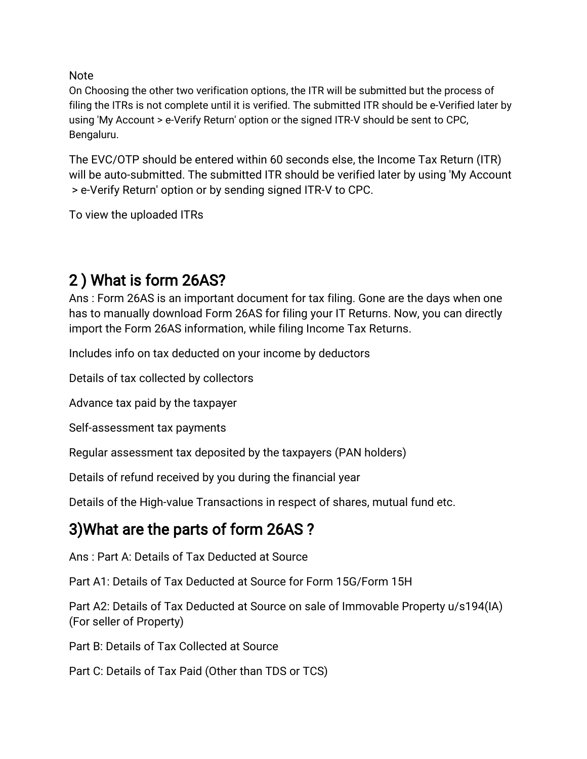**Note** 

On Choosing the other two verification options, the ITR will be submitted but the process of filing the ITRs is not complete until it is verified. The submitted ITR should be e-Verified later by using 'My Account > e-Verify Return' option or the signed ITR-V should be sent to CPC, Bengaluru.

The EVC/OTP should be entered within 60 seconds else, the Income Tax Return (ITR) will be auto-submitted. The submitted ITR should be verified later by using 'My Account > e-Verify Return' option or by sending signed ITR-V to CPC.

To view the uploaded ITRs

# 2) What is form 26AS?

Ans: Form 26AS is an important document for tax filing. Gone are the days when one has to manually download Form 26AS for filing your IT Returns. Now, you can directly import the Form 26AS information, while filing Income Tax Returns.

Includes info on tax deducted on your income by deductors

Details of tax collected by collectors

Advance tax paid by the taxpayer

Self-assessment tax payments

Regular assessment tax deposited by the taxpayers (PAN holders)

Details of refund received by you during the financial year

Details of the High-value Transactions in respect of shares, mutual fund etc.

# 3) What are the parts of form 26AS?

Ans: Part A: Details of Tax Deducted at Source

Part A1: Details of Tax Deducted at Source for Form 15G/Form 15H

Part A2: Details of Tax Deducted at Source on sale of Immovable Property u/s194(IA) (For seller of Property)

Part B: Details of Tax Collected at Source

Part C: Details of Tax Paid (Other than TDS or TCS)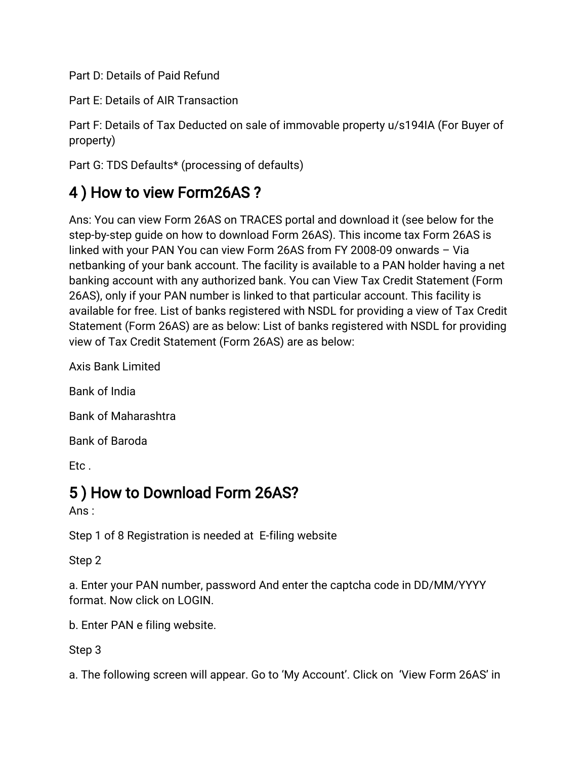Part D: Details of Paid Refund

Part E: Details of AIR Transaction

Part F: Details of Tax Deducted on sale of immovable property u/s194IA (For Buyer of property)

Part G: TDS Defaults\* (processing of defaults)

# 4) How to view Form26AS?

Ans: You can view Form 26AS on TRACES portal and download it (see below for the step-by-step guide on how to download Form 26AS). This income tax Form 26AS is linked with your PAN You can view Form 26AS from FY 2008-09 onwards  $-$  Via netbanking of your bank account. The facility is available to a PAN holder having a net banking account with any authorized bank. You can View Tax Credit Statement (Form 26AS), only if your PAN number is linked to that particular account. This facility is available for free. List of banks registered with NSDL for providing a view of Tax Credit Statement (Form 26AS) are as below: List of banks registered with NSDL for providing view of Tax Credit Statement (Form 26AS) are as below:

Axis Bank Limited

Bank of India

Bank of Maharashtra

Bank of Baroda

Etc.

## 5) How to Download Form 26AS?

Ans:

Step 1 of 8 Registration is needed at E-filing website

Step<sub>2</sub>

a. Enter your PAN number, password And enter the captcha code in DD/MM/YYYY format. Now click on LOGIN.

b. Enter PAN e filing website.

Step<sub>3</sub>

a. The following screen will appear. Go to 'My Account'. Click on 'View Form 26AS' in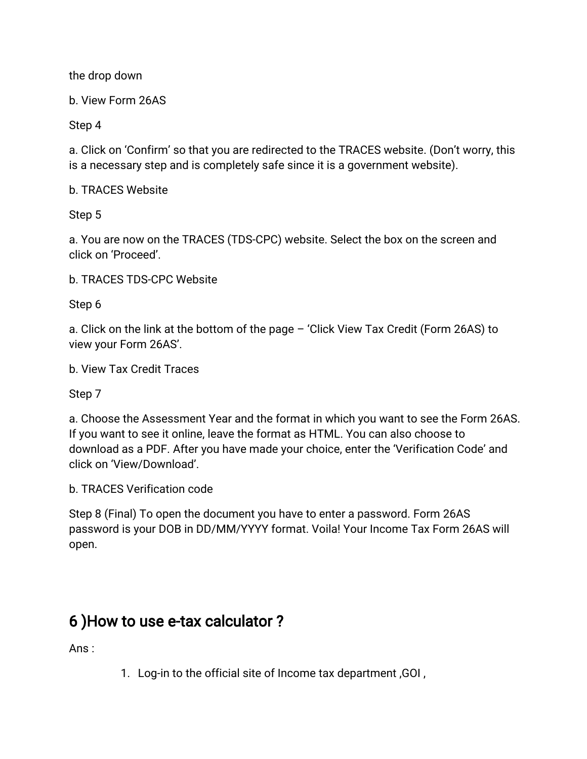the drop down

b. View Form 26AS

Step 4

a. Click on 'Confirm' so that you are redirected to the TRACES website. (Don't worry, this is a necessary step and is completely safe since it is a government website).

b. TRACES Website

Step<sub>5</sub>

a. You are now on the TRACES (TDS-CPC) website. Select the box on the screen and click on 'Proceed'.

b. TRACES TDS-CPC Website

Step<sub>6</sub>

a. Click on the link at the bottom of the page – 'Click View Tax Credit (Form 26AS) to view your Form 26AS'.

b. View Tax Credit Traces

Step 7

a. Choose the Assessment Year and the format in which you want to see the Form 26AS. If you want to see it online, leave the format as HTML. You can also choose to download as a PDF. After you have made your choice, enter the 'Verification Code' and click on 'View/Download'.

b. TRACES Verification code

Step 8 (Final) To open the document you have to enter a password. Form 26AS password is your DOB in DD/MM/YYYY format. Voila! Your Income Tax Form 26AS will open.

# 6) How to use e-tax calculator?

Ans:

1. Log-in to the official site of Income tax department, GOI,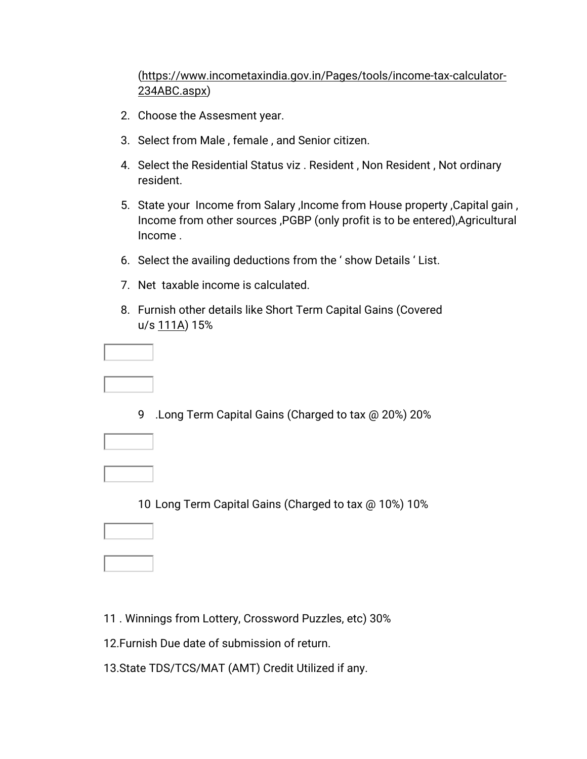#### (https://www.incometaxindia.gov.in/Pages/tools/income-tax-calculator-234ABC.aspx)

- 2. Choose the Assesment year.
- 3. Select from Male, female, and Senior citizen.
- 4. Select the Residential Status viz. Resident, Non Resident, Not ordinary resident.
- 5. State your Income from Salary, Income from House property, Capital gain, Income from other sources, PGBP (only profit is to be entered), Agricultural Income.
- 6. Select the availing deductions from the 'show Details 'List.
- 7. Net taxable income is calculated.
- 8. Furnish other details like Short Term Capital Gains (Covered u/s 111A) 15%

9 .Long Term Capital Gains (Charged to tax @ 20%) 20%

10 Long Term Capital Gains (Charged to tax @ 10%) 10%

- 11. Winnings from Lottery, Crossword Puzzles, etc) 30%
- 12. Furnish Due date of submission of return.
- 13. State TDS/TCS/MAT (AMT) Credit Utilized if any.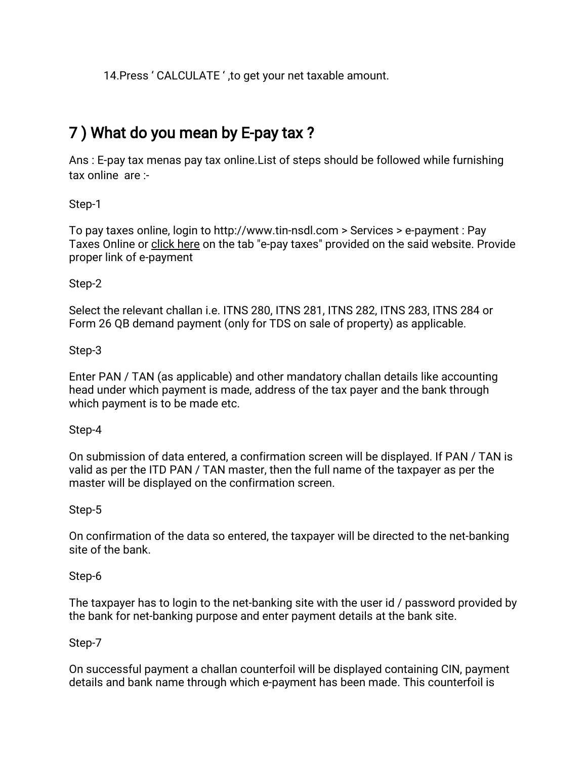14. Press 'CALCULATE', to get your net taxable amount.

# 7) What do you mean by E-pay tax?

Ans: E-pay tax menas pay tax online. List of steps should be followed while furnishing tax online are:-

Step-1

To pay taxes online, login to http://www.tin-nsdl.com > Services > e-payment: Pay Taxes Online or click here on the tab "e-pay taxes" provided on the said website. Provide proper link of e-payment

Step-2

Select the relevant challan i.e. ITNS 280, ITNS 281, ITNS 282, ITNS 283, ITNS 284 or Form 26 QB demand payment (only for TDS on sale of property) as applicable.

Step-3

Enter PAN / TAN (as applicable) and other mandatory challan details like accounting head under which payment is made, address of the tax payer and the bank through which payment is to be made etc.

Step-4

On submission of data entered, a confirmation screen will be displayed. If PAN / TAN is valid as per the ITD PAN / TAN master, then the full name of the taxpayer as per the master will be displayed on the confirmation screen.

#### Step-5

On confirmation of the data so entered, the taxpayer will be directed to the net-banking site of the bank.

Step-6

The taxpayer has to login to the net-banking site with the user id / password provided by the bank for net-banking purpose and enter payment details at the bank site.

#### Step-7

On successful payment a challan counterfoil will be displayed containing CIN, payment details and bank name through which e-payment has been made. This counterfoil is